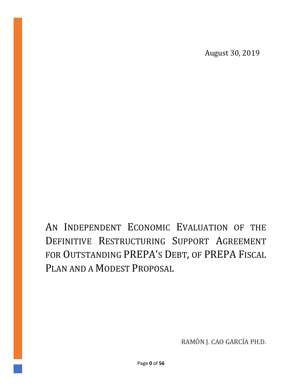August 30, 2019

AN INDEPENDENT ECONOMIC EVALUATION OF THE DEFINITIVE RESTRUCTURING SUPPORT AGREEMENT FOR OUTSTANDING PREPA'S DEBT, OF PREPA FISCAL PLAN AND A MODEST PROPOSAL

RAMÓN J. CAO GARCÍA PH.D.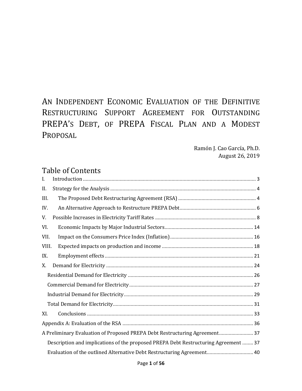# AN INDEPENDENT ECONOMIC EVALUATION OF THE DEFINITIVE RESTRUCTURING SUPPORT AGREEMENT FOR OUTSTANDING PREPA'S DEBT, OF PREPA FISCAL PLAN AND A MODEST PROPOSAL

Ramón J. Cao García, Ph.D. August 26, 2019

### Table of Contents

| Ι.    |                                                                                     |
|-------|-------------------------------------------------------------------------------------|
| II.   |                                                                                     |
| III.  |                                                                                     |
| IV.   |                                                                                     |
| V.    |                                                                                     |
| VI.   |                                                                                     |
| VII.  |                                                                                     |
| VIII. |                                                                                     |
| IX.   |                                                                                     |
| X.    |                                                                                     |
|       |                                                                                     |
|       |                                                                                     |
|       |                                                                                     |
|       |                                                                                     |
| XI.   |                                                                                     |
|       |                                                                                     |
|       | A Preliminary Evaluation of Proposed PREPA Debt Restructuring Agreement 37          |
|       | Description and implications of the proposed PREPA Debt Restructuring Agreement  37 |
|       | Evaluation of the outlined Alternative Debt Restructuring Agreement 40              |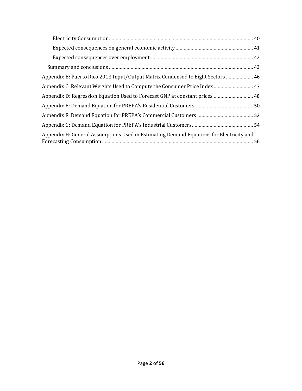| Appendix B: Puerto Rico 2013 Input/Output Matrix Condensed to Eight Sectors  46         |
|-----------------------------------------------------------------------------------------|
| Appendix C: Relevant Weights Used to Compute the Consumer Price Index 47                |
| Appendix D: Regression Equation Used to Forecast GNP at constant prices  48             |
|                                                                                         |
|                                                                                         |
|                                                                                         |
| Appendix H: General Assumptions Used in Estimating Demand Equations for Electricity and |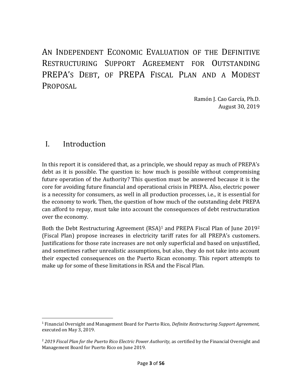AN INDEPENDENT ECONOMIC EVALUATION OF THE DEFINITIVE RESTRUCTURING SUPPORT AGREEMENT FOR OUTSTANDING PREPA'S DEBT, OF PREPA FISCAL PLAN AND A MODEST PROPOSAL

> Ramón J. Cao García, Ph.D. August 30, 2019

### <span id="page-3-0"></span>I. Introduction

In this report it is considered that, as a principle, we should repay as much of PREPA's debt as it is possible. The question is: how much is possible without compromising future operation of the Authority? This question must be answered because it is the core for avoiding future financial and operational crisis in PREPA. Also, electric power is a necessity for consumers, as well in all production processes, i.e., it is essential for the economy to work. Then, the question of how much of the outstanding debt PREPA can afford to repay, must take into account the consequences of debt restructuration over the economy.

Both the Debt Restructuring Agreement (RSA)<sup>1</sup> and PREPA Fiscal Plan of June 2019<sup>2</sup> (Fiscal Plan) propose increases in electricity tariff rates for all PREPA's customers. Justifications for those rate increases are not only superficial and based on unjustified, and sometimes rather unrealistic assumptions, but also, they do not take into account their expected consequences on the Puerto Rican economy. This report attempts to make up for some of these limitations in RSA and the Fiscal Plan.

<sup>1</sup> Financial Oversight and Management Board for Puerto Rico, *Definite Restructuring Support Agreement,* executed on May 3, 2019.

<sup>&</sup>lt;sup>2</sup> 2019 Fiscal Plan for the Puerto Rico Electric Power Authority, as certified by the Financial Oversight and Management Board for Puerto Rico on June 2019.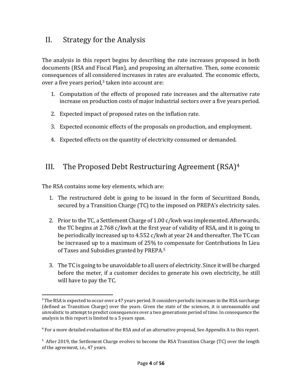### <span id="page-4-0"></span>II. Strategy for the Analysis

The analysis in this report begins by describing the rate increases proposed in both documents (RSA and Fiscal Plan), and proposing an alternative. Then, some economic consequences of all considered increases in rates are evaluated. The economic effects, over a five years period, $3$  taken into account are:

- 1. Computation of the effects of proposed rate increases and the alternative rate increase on production costs of major industrial sectors over a five years period.
- 2. Expected impact of proposed rates on the inflation rate.
- 3. Expected economic effects of the proposals on production, and employment.
- 4. Expected effects on the quantity of electricity consumed or demanded.

### <span id="page-4-1"></span>III. The Proposed Debt Restructuring Agreement (RSA)<sup>4</sup>

The RSA contains some key elements, which are:

- 1. The restructured debt is going to be issued in the form of Securitized Bonds, secured by a Transition Charge (TC) to the imposed on PREPA's electricity sales.
- 2. Prior to the TC, a Settlement Charge of 1.00 c/kwh was implemented. Afterwards, the TC begins at 2.768 c/kwh at the first year of validity of RSA, and it is going to be periodically increased up to 4.552 c/kwh at year 24 and thereafter. The TC can be increased up to a maximum of 25% to compensate for Contributions In Lieu of Taxes and Subsidies granted by PREPA.<sup>5</sup>
- 3. The TC is going to be unavoidable to all users of electricity. Since it will be charged before the meter, if a customer decides to generate his own electricity, he still will have to pay the TC.

<sup>&</sup>lt;sup>3</sup> The RSA is expected to occur over a 47 years period. It considers periodic increases in the RSA surcharge (defined as Transition Charge) over the years. Given the state of the sciences, it is unreasonable and unrealistic to attempt to predict consequences over a two generations period of time. In consequence the analysis in this report is limited to a 5 years span.

<sup>4</sup> For a more detailed evaluation of the RSA and of an alternative proposal, See Appendix A to this report.

<sup>&</sup>lt;sup>5</sup> After 2019, the Settlement Charge evolves to become the RSA Transition Charge (TC) over the length of the agreement, i.e., 47 years.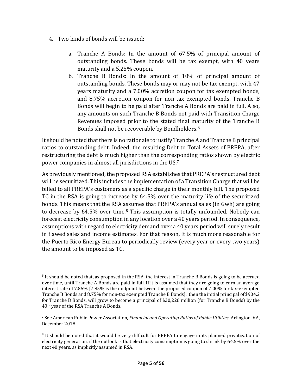- 4. Two kinds of bonds will be issued:
	- a. Tranche A Bonds: In the amount of 67.5% of principal amount of outstanding bonds. These bonds will be tax exempt, with 40 years maturity and a 5.25% coupon.
	- b. Tranche B Bonds: In the amount of 10% of principal amount of outstanding bonds. These bonds may or may not be tax exempt, with 47 years maturity and a 7.00% accretion coupon for tax exempted bonds, and 8.75% accretion coupon for non-tax exempted bonds. Tranche B Bonds will begin to be paid after Tranche A Bonds are paid in full. Also, any amounts on such Tranche B Bonds not paid with Transition Charge Revenues imposed prior to the stated final maturity of the Tranche B Bonds shall not be recoverable by Bondholders.<sup>6</sup>

It should be noted that there is no rationale to justify Tranche A and Tranche B principal ratios to outstanding debt. Indeed, the resulting Debt to Total Assets of PREPA, after restructuring the debt is much higher than the corresponding ratios shown by electric power companies in almost all jurisdictions in the US.<sup>7</sup>

As previously mentioned, the proposed RSA establishes that PREPA's restructured debt will be securitized. This includes the implementation of a Transition Charge that will be billed to all PREPA's customers as a specific charge in their monthly bill. The proposed TC in the RSA is going to increase by 64.5% over the maturity life of the securitized bonds. This means that the RSA assumes that PREPA's annual sales (in Gwh) are going to decrease by 64.5% over time.<sup>8</sup> This assumption is totally unfounded. Nobody can forecast electricity consumption in any location over a 40 years period. In consequence, assumptions with regard to electricity demand over a 40 years period will surely result in flawed sales and income estimates. For that reason, it is much more reasonable for the Puerto Rico Energy Bureau to periodically review (every year or every two years) the amount to be imposed as TC.

<sup>&</sup>lt;sup>6</sup> It should be noted that, as proposed in the RSA, the interest in Tranche B Bonds is going to be accrued over time, until Tranche A Bonds are paid in full. If it is assumed that they are going to earn an average interest rate of 7.85% [7.85% is the midpoint between the proposed coupon of 7.00% for tax-exempted Tranche B Bonds and 8.75% for non-tax exempted Tranche B Bonds], then the initial principal of \$904.2 for Tranche B Bonds, will grow to become a principal of \$20,226 million (for Tranche B Bonds) by the 40th year of the RSA Tranche A Bonds.

<sup>7</sup> See American Public Power Association, *Financial and Operating Ratios of Public Utilities*, Arlington, VA, December 2018.

<sup>&</sup>lt;sup>8</sup> It should be noted that it would be very difficult for PREPA to engage in its planned privatization of electricity generation, if the outlook is that electricity consumption is going to shrink by 64.5% over the next 40 years, as implicitly assumed in RSA.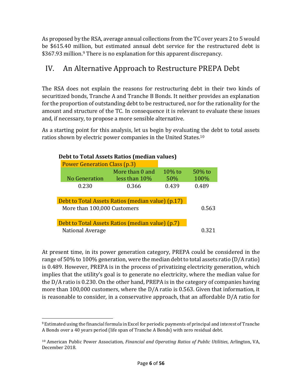As proposed by the RSA, average annual collections from the TC over years 2 to 5 would be \$615.40 million, but estimated annual debt service for the restructured debt is \$367.93 million.<sup>9</sup> There is no explanation for this apparent discrepancy.

### <span id="page-6-0"></span>IV. An Alternative Approach to Restructure PREPA Debt

The RSA does not explain the reasons for restructuring debt in their two kinds of securitized bonds, Tranche A and Tranche B Bonds. It neither provides an explanation for the proportion of outstanding debt to be restructured, nor for the rationality for the amount and structure of the TC. In consequence it is relevant to evaluate these issues and, if necessary, to propose a more sensible alternative.

As a starting point for this analysis, let us begin by evaluating the debt to total assets ratios shown by electric power companies in the United States.<sup>10</sup>

| Debt to Total Assets Ratios (median values) |                                                   |                  |                   |  |
|---------------------------------------------|---------------------------------------------------|------------------|-------------------|--|
| <b>Power Generation Class (p.3)</b>         |                                                   |                  |                   |  |
| No Generation                               | More than 0 and<br>less than $10\%$               | $10\%$ to<br>50% | $50\%$ to<br>100% |  |
| 0.230                                       | 0.366                                             | 0.439            | 0.489             |  |
|                                             | Debt to Total Assets Ratios (median value) (p.17) |                  |                   |  |
| More than 100,000 Customers                 | 0.563                                             |                  |                   |  |
|                                             | Debt to Total Assets Ratios (median value) (p.7)  |                  |                   |  |
| <b>National Average</b>                     |                                                   |                  |                   |  |

At present time, in its power generation category, PREPA could be considered in the range of 50% to 100% generation, were the median debt to total assets ratio (D/A ratio) is 0.489. However, PREPA is in the process of privatizing electricity generation, which implies that the utility's goal is to generate no electricity, where the median value for the D/A ratio is 0.230. On the other hand, PREPA is in the category of companies having more than 100,000 customers, where the D/A ratio is 0.563. Given that information, it is reasonable to consider, in a conservative approach, that an affordable D/A ratio for

<sup>9</sup> Estimated using the financial formula in Excel for periodic payments of principal and interest of Tranche A Bonds over a 40 years period (life span of Tranche A Bonds) with zero residual debt.

<sup>10</sup> American Public Power Association, *Financial and Operating Ratios of Public Utilities*, Arlington, VA, December 2018.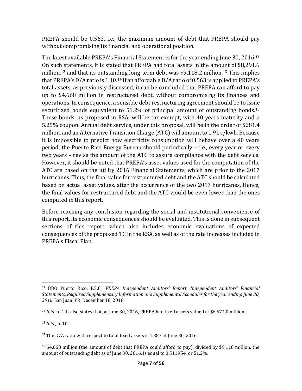PREPA should be 0.563, i.e., the maximum amount of debt that PREPA should pay without compromising its financial and operational position.

The latest available PREPA's Financial Statement is for the year ending June 30, 2016.<sup>11</sup> On such statements, it is stated that PREPA had total assets in the amount of \$8,291.6 million,<sup>12</sup> and that its outstanding long-term debt was \$9,118.2 million.<sup>13</sup> This implies that PREPA's D/A ratio is 1.10.<sup>14</sup> If an affordable D/A ratio of 0.563 is applied to PREPA's total assets, as previously discussed, it can be concluded that PREPA can afford to pay up to \$4,668 million in restructured debt, without compromising its finances and operations. In consequence, a sensible debt restructuring agreement should be to issue securitized bonds equivalent to 51.2% of principal amount of outstanding bonds.<sup>15</sup> These bonds, as proposed in RSA, will be tax exempt, with 40 years maturity and a 5.25% coupon. Annual debt service, under this proposal, will be in the order of \$281.4 million, and an Alternative Transition Charge (ATC) will amount to 1.91 c/kwh. Because it is impossible to predict how electricity consumption will behave over a 40 years period, the Puerto Rico Energy Bureau should periodically – i.e., every year or every two years – revise the amount of the ATC to assure compliance with the debt service. However, it should be noted that PREPA's asset values used for the computation of the ATC are based on the utility 2016 Financial Statements, which are prior to the 2017 hurricanes. Thus, the final value for restructured debt and the ATC should be calculated based on actual asset values, after the occurrence of the two 2017 hurricanes. Hence, the final values for restructured debt and the ATC would be even lower than the ones computed in this report.

Before reaching any conclusion regarding the social and institutional convenience of this report, its economic consequences should be evaluated. This is done in subsequent sections of this report, which also includes economic evaluations of expected consequences of the proposed TC in the RSA, as well as of the rate increases included in PREPA's Fiscal Plan.

<sup>13</sup> *Ibid.,* p. 10.

<sup>11</sup> BDO Puerto Rico, P.S.C., *PREPA Independent Auditors' Report, Independent Auditors' Financial Statements, Required Supplementary Information and Supplemental Schedules for the year ending June 30, 2016*, San Juan, PR, December 18, 2018.

<sup>&</sup>lt;sup>12</sup> *Ibid.* p. 4. It also states that, at June 30, 2016, PREPA had fixed assets valued at \$6,574.0 million.

<sup>&</sup>lt;sup>14</sup> The D/A ratio with respect to total fixed assets is 1.387 at June 30, 2016.

<sup>15</sup> \$4,668 million (the amount of debt that PREPA could afford to pay), divided by \$9,118 million, the amount of outstanding debt as of June 30, 2016, is equal to 0.511954, or 51.2%.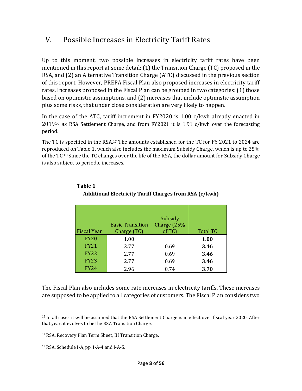### <span id="page-8-0"></span>V. Possible Increases in Electricity Tariff Rates

Up to this moment, two possible increases in electricity tariff rates have been mentioned in this report at some detail: (1) the Transition Charge (TC) proposed in the RSA, and (2) an Alternative Transition Charge (ATC) discussed in the previous section of this report. However, PREPA Fiscal Plan also proposed increases in electricity tariff rates. Increases proposed in the Fiscal Plan can be grouped in two categories: (1) those based on optimistic assumptions, and (2) increases that include optimistic assumption plus some risks, that under close consideration are very likely to happen.

In the case of the ATC, tariff increment in FY2020 is 1.00 c/kwh already enacted in 2019<sup>16</sup> as RSA Settlement Charge, and from FY2021 it is 1.91 c/kwh over the forecasting period.

The TC is specified in the RSA.<sup>17</sup> The amounts established for the TC for FY 2021 to 2024 are reproduced on Table 1, which also includes the maximum Subsidy Charge, which is up to 25% of the TC.<sup>18</sup> Since the TC changes over the life of the RSA, the dollar amount for Subsidy Charge is also subject to periodic increases.

| <b>Fiscal Year</b> | <b>Basic Transition</b><br>Charge (TC) | Subsidy<br>Charge (25%<br>$of TC$ | <b>Total TC</b> |
|--------------------|----------------------------------------|-----------------------------------|-----------------|
| <b>FY20</b>        | 1.00                                   |                                   | 1.00            |
| <b>FY21</b>        | 2.77                                   | 0.69                              | 3.46            |
| <b>FY22</b>        | 2.77                                   | 0.69                              | 3.46            |
| <b>FY23</b>        | 2.77                                   | 0.69                              | 3.46            |
| <b>FY24</b>        | 2.96                                   | 0.74                              | 3.70            |

#### **Table 1 Additional Electricity Tariff Charges from RSA (c/kwh)**

The Fiscal Plan also includes some rate increases in electricity tariffs. These increases are supposed to be applied to all categories of customers. The Fiscal Plan considers two

<sup>&</sup>lt;sup>16</sup> In all cases it will be assumed that the RSA Settlement Charge is in effect over fiscal year 2020. After that year, it evolves to be the RSA Transition Charge.

<sup>17</sup> RSA, Recovery Plan Term Sheet, III Transition Charge.

<sup>18</sup> RSA, Schedule I-A, pp. I-A-4 and I-A-5.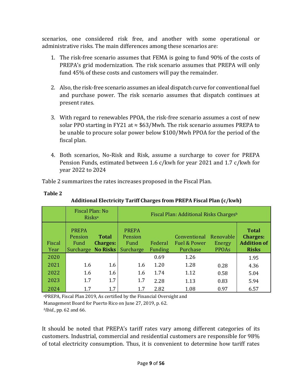scenarios, one considered risk free, and another with some operational or administrative risks. The main differences among these scenarios are:

- 1. The risk-free scenario assumes that FEMA is going to fund 90% of the costs of PREPA's grid modernization. The risk scenario assumes that PREPA will only fund 45% of these costs and customers will pay the remainder.
- 2. Also, the risk-free scenario assumes an ideal dispatch curve for conventional fuel and purchase power. The risk scenario assumes that dispatch continues at present rates.
- 3. With regard to renewables PPOA, the risk-free scenario assumes a cost of new solar PPO starting in FY21 at  $\approx$  \$63/Mwh. The risk scenario assumes PREPA to be unable to procure solar power below \$100/Mwh PPOA for the period of the fiscal plan.
- 4. Both scenarios, No-Risk and Risk, assume a surcharge to cover for PREPA Pension Funds, estimated between 1.6 c/kwh for year 2021 and 1.7 c/kwh for year 2022 to 2024

Table 2 summarizes the rates increases proposed in the Fiscal Plan.

|                | Fiscal Plan: No<br>Risks <sup>a</sup>                 |                                 |                                              |                           | Fiscal Plan: Additional Risks Charges <sup>b</sup> |                                     |                                                                       |
|----------------|-------------------------------------------------------|---------------------------------|----------------------------------------------|---------------------------|----------------------------------------------------|-------------------------------------|-----------------------------------------------------------------------|
| Fiscal<br>Year | <b>PREPA</b><br>Pension<br>Fund<br>Surcharge No Risks | <b>Total</b><br><b>Charges:</b> | <b>PREPA</b><br>Pension<br>Fund<br>Surcharge | Federal<br><b>Funding</b> | Conventional<br>Fuel & Power<br>Purchase           | Renovable<br>Energy<br><b>PPOAs</b> | <b>Total</b><br><b>Charges:</b><br><b>Addition of</b><br><b>Risks</b> |
| 2020           |                                                       |                                 |                                              | 0.69                      | 1.26                                               |                                     | 1.95                                                                  |
| 2021           | 1.6                                                   | 1.6                             | 1.6                                          | 1.20                      | 1.28                                               | 0.28                                | 4.36                                                                  |
| 2022           | 1.6                                                   | 1.6                             | 1.6                                          | 1.74                      | 1.12                                               | 0.58                                | 5.04                                                                  |
| 2023           | 1.7                                                   | 1.7                             | 1.7                                          | 2.28                      | 1.13                                               | 0.83                                | 5.94                                                                  |
| 2024           | 1.7                                                   | 1.7                             | 1.7                                          | 2.82                      | 1.08                                               | 0.97                                | 6.57                                                                  |

**Additional Electricity Tariff Charges from PREPA Fiscal Plan (c/kwh)**

<sup>a</sup>PREPA, Fiscal Plan 2019, As certified by the Financial Oversight and

Management Board for Puerto Rico on June 27, 2019, p. 62.

*<sup>b</sup>Ibid.*, pp. 62 and 66.

**Table 2**

It should be noted that PREPA's tariff rates vary among different categories of its customers. Industrial, commercial and residential customers are responsible for 98% of total electricity consumption. Thus, it is convenient to determine how tariff rates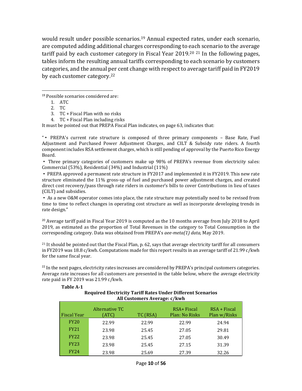would result under possible scenarios.<sup>19</sup> Annual expected rates, under each scenario, are computed adding additional charges corresponding to each scenario to the average tariff paid by each customer category in Fiscal Year 2019.<sup>20 21</sup> In the following pages, tables inform the resulting annual tariffs corresponding to each scenario by customers categories, and the annual per cent change with respect to average tariff paid in FY2019 by each customer category.<sup>22</sup>

<sup>19</sup> Possible scenarios considered are:

- 3. TC + Fiscal Plan with no risks
- 4. TC + Fiscal Plan including risks

It must be pointed out that PREPA Fiscal Plan indicates, on page 63, indicates that:

"▪ PREPA's current rate structure is composed of three primary components – Base Rate, Fuel Adjustment and Purchased Power Adjustment Charges, and CILT & Subsidy rate riders. A fourth component includes RSA settlement charges, which is still pending of approval by the Puerto Rico Energy Board.

▪ Three primary categories of customers make up 98% of PREPA's revenue from electricity sales: Commercial (53%), Residential (34%) and Industrial (11%)

▪ PREPA approved a permanent rate structure in FY2017 and implemented it in FY2019. This new rate structure eliminated the 11% gross-up of fuel and purchased power adjustment charges, and created direct cost recovery/pass through rate riders in customer's bills to cover Contributions in lieu of taxes (CILT) and subsidies.

▪ As a new O&M operator comes into place, the rate structure may potentially need to be revised from time to time to reflect changes in operating cost structure as well as incorporate developing trends in rate design."

<sup>20</sup> Average tariff paid in Fiscal Year 2019 is computed as the 10 months average from July 2018 to April 2019, as estimated as the proportion of Total Revenues in the category to Total Consumption in the corresponding category. Data was obtained from PREPA's *aee-meta(1) data,* May 2019.

<sup>21</sup> It should be pointed out that the Fiscal Plan, p. 62, says that average electricity tariff for all consumers in FY2019 was 18.8 c/kwh. Computations made for this report results in an average tariff of 21.99 c/kwh for the same fiscal year.

 $^{22}$  In the next pages, electricity rates increases are considered by PREPA's principal customers categories. Average rate increases for all customers are presented in the table below, where the average electricity rate paid in FY 2019 was 21.99 c/kwh.

| <b>Required Electricity Tariff Rates Under Different Scenarios</b><br>All Customers Average: c/kwh |                         |          |                               |                                |  |
|----------------------------------------------------------------------------------------------------|-------------------------|----------|-------------------------------|--------------------------------|--|
| <b>Fiscal Year</b>                                                                                 | Alternative TC<br>(ATC) | TC (RSA) | RSA+ Fiscal<br>Plan: No Risks | $RSA + Fiscal$<br>Plan w/Risks |  |
| <b>FY20</b>                                                                                        | 22.99                   | 22.99    | 22.99                         | 24.94                          |  |
| <b>FY21</b>                                                                                        | 23.98                   | 25.45    | 27.05                         | 29.81                          |  |
| <b>FY22</b>                                                                                        | 23.98                   | 25.45    | 27.05                         | 30.49                          |  |
| <b>FY23</b>                                                                                        | 23.98                   | 25.45    | 27.15                         | 31.39                          |  |
| <b>FY24</b>                                                                                        | 23.98                   | 25.69    | 27.39                         | 32.26                          |  |

#### **Table A-1**

<sup>1.</sup> ATC

<sup>2.</sup> TC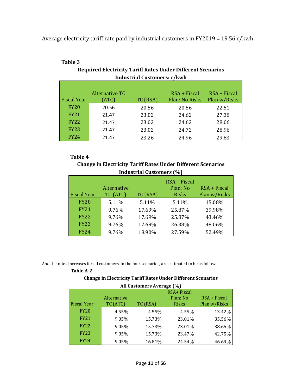Average electricity tariff rate paid by industrial customers in FY2019 = 19.56 c/kwh

|                    |                         | maastrial sastomersi e/ kw n |                                         |                              |
|--------------------|-------------------------|------------------------------|-----------------------------------------|------------------------------|
| <b>Fiscal Year</b> | Alternative TC<br>(ATC) | TC (RSA)                     | $RSA + Fiscal$<br><b>Plan: No Risks</b> | RSA + Fiscal<br>Plan w/Risks |
|                    |                         |                              |                                         |                              |
| <b>FY20</b>        | 20.56                   | 20.56                        | 20.56                                   | 22.51                        |
| <b>FY21</b>        | 21.47                   | 23.02                        | 24.62                                   | 27.38                        |
| <b>FY22</b>        | 21.47                   | 23.02                        | 24.62                                   | 28.06                        |
| <b>FY23</b>        | 21.47                   | 23.02                        | 24.72                                   | 28.96                        |
| <b>FY24</b>        | 21.47                   | 23.26                        | 24.96                                   | 29.83                        |

#### **Table 3**

**Required Electricity Tariff Rates Under Different Scenarios Industrial Customers: c/kwh**

#### **Table 4**

#### **Change in Electricity Tariff Rates Under Different Scenarios Industrial Customers (%)**

| <b>Fiscal Year</b> | Alternative<br>TC (ATC) | TC (RSA) | $RSA + Fixed$<br>Plan: No<br>Risks | $RSA + Fiscal$<br>Plan w/Risks |
|--------------------|-------------------------|----------|------------------------------------|--------------------------------|
| <b>FY20</b>        | 5.11%                   | 5.11%    | 5.11%                              | 15.08%                         |
| <b>FY21</b>        | 9.76%                   | 17.69%   | 25.87%                             | 39.98%                         |
| <b>FY22</b>        | 9.76%                   | 17.69%   | 25.87%                             | 43.46%                         |
| <b>FY23</b>        | 9.76%                   | 17.69%   | 26.38%                             | 48.06%                         |
| <b>FY24</b>        | 9.76%                   | 18.90%   | 27.59%                             | 52.49%                         |

And the rates increases for all customers, in the four scenarios, are estimated to be as follows:

#### **Table A-2**

#### **Change in Electricity Tariff Rates Under Different Scenarios All Customers Average (%)**

|                    |             | All customers Average (70) |              |                |
|--------------------|-------------|----------------------------|--------------|----------------|
|                    |             |                            | RSA+ Fiscal  |                |
|                    | Alternative |                            | Plan: No     | $RSA + Fiscal$ |
| <b>Fiscal Year</b> | TC (ATC)    | TC (RSA)                   | <b>Risks</b> | Plan w/Risks   |
| <b>FY20</b>        | 4.55%       | 4.55%                      | 4.55%        | 13.42%         |
| <b>FY21</b>        | 9.05%       | 15.73%                     | 23.01%       | 35.56%         |
| <b>FY22</b>        | 9.05%       | 15.73%                     | 23.01%       | 38.65%         |
| <b>FY23</b>        | 9.05%       | 15.73%                     | 23.47%       | 42.75%         |
| <b>FY24</b>        | 9.05%       | 16.81%                     | 24.54%       | 46.69%         |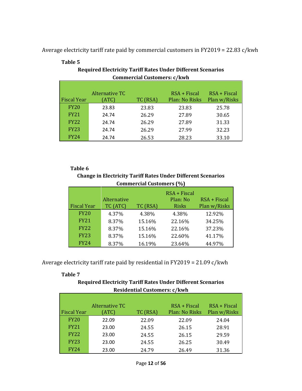Average electricity tariff rate paid by commercial customers in FY2019 = 22.83 c/kwh

|                    |                | sommon chan sabeomonol e/mum |                |                |
|--------------------|----------------|------------------------------|----------------|----------------|
|                    |                |                              |                |                |
|                    | Alternative TC |                              | $RSA + Fiscal$ | $RSA + Fiscal$ |
| <b>Fiscal Year</b> | (ATC)          | TC (RSA)                     | Plan: No Risks | Plan w/Risks   |
| <b>FY20</b>        | 23.83          | 23.83                        | 23.83          | 25.78          |
| <b>FY21</b>        | 24.74          | 26.29                        | 27.89          | 30.65          |
| <b>FY22</b>        | 24.74          | 26.29                        | 27.89          | 31.33          |
| <b>FY23</b>        | 24.74          | 26.29                        | 27.99          | 32.23          |
| FY24               | 24.74          | 26.53                        | 28.23          | 33.10          |

#### **Table 5**

**Required Electricity Tariff Rates Under Different Scenarios Commercial Customers: c/kwh**

#### **Table 6**

**Change in Electricity Tariff Rates Under Different Scenarios Commercial Customers (%)**

|                    | Alternative |          | $RSA + Fixed$<br>Plan: No | $RSA + Fiscal$ |
|--------------------|-------------|----------|---------------------------|----------------|
| <b>Fiscal Year</b> | TC (ATC)    | TC (RSA) | Risks                     | Plan w/Risks   |
| <b>FY20</b>        | 4.37%       | 4.38%    | 4.38%                     | 12.92%         |
| <b>FY21</b>        | 8.37%       | 15.16%   | 22.16%                    | 34.25%         |
| <b>FY22</b>        | 8.37%       | 15.16%   | 22.16%                    | 37.23%         |
| <b>FY23</b>        | 8.37%       | 15.16%   | 22.60%                    | 41.17%         |
| <b>FY24</b>        | 8.37%       | 16.19%   | 23.64%                    | 44.97%         |

Average electricity tariff rate paid by residential in FY2019 = 21.09 c/kwh

**Table 7**

**Required Electricity Tariff Rates Under Different Scenarios Residential Customers: c/kwh**

|                    | Alternative TC |          | RSA + Fiscal   | $RSA + Fiscal$ |
|--------------------|----------------|----------|----------------|----------------|
| <b>Fiscal Year</b> | (ATC)          | TC (RSA) | Plan: No Risks | Plan w/Risks   |
| <b>FY20</b>        | 22.09          | 22.09    | 22.09          | 24.04          |
| <b>FY21</b>        | 23.00          | 24.55    | 26.15          | 28.91          |
| <b>FY22</b>        | 23.00          | 24.55    | 26.15          | 29.59          |
| <b>FY23</b>        | 23.00          | 24.55    | 26.25          | 30.49          |
| <b>FY24</b>        | 23.00          | 24.79    | 26.49          | 31.36          |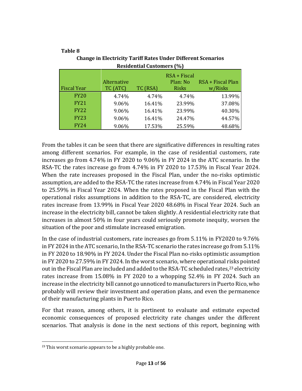|                    |             | <b>Residential Customers (%)</b> |                          |                   |
|--------------------|-------------|----------------------------------|--------------------------|-------------------|
|                    | Alternative |                                  | RSA + Fiscal<br>Plan: No | RSA + Fiscal Plan |
| <b>Fiscal Year</b> | TC (ATC)    | TC (RSA)                         | <b>Risks</b>             | w/Risks           |
| <b>FY20</b>        | 4.74%       | 4.74%                            | 4.74%                    | 13.99%            |
| <b>FY21</b>        | 9.06%       | 16.41%                           | 23.99%                   | 37.08%            |
| <b>FY22</b>        | 9.06%       | 16.41%                           | 23.99%                   | 40.30%            |
| <b>FY23</b>        | 9.06%       | 16.41%                           | 24.47%                   | 44.57%            |
| <b>FY24</b>        | 9.06%       | 17.53%                           | 25.59%                   | 48.68%            |

### **Table 8 Change in Electricity Tariff Rates Under Different Scenarios**

From the tables it can be seen that there are significative differences in resulting rates among different scenarios. For example, in the case of residential customers, rate increases go from 4.74% in FY 2020 to 9.06% in FY 2024 in the ATC scenario. In the RSA-TC the rates increase go from 4.74% in FY 2020 to 17.53% in Fiscal Year 2024. When the rate increases proposed in the Fiscal Plan, under the no-risks optimistic assumption, are added to the RSA-TC the rates increase from 4.74% in Fiscal Year 2020 to 25.59% in Fiscal Year 2024. When the rates proposed in the Fiscal Plan with the operational risks assumptions in addition to the RSA-TC, are considered, electricity rates increase from 13.99% in Fiscal Year 2020 48.68% in Fiscal Year 2024. Such an increase in the electricity bill, cannot be taken slightly. A residential electricity rate that increases in almost 50% in four years could seriously promote inequity, worsen the situation of the poor and stimulate increased emigration.

In the case of industrial customers, rate increases go from 5.11% in FY2020 to 9.76% in FY 2024 in the ATC scenario, In the RSA-TC scenario the rates increase go from 5.11% in FY 2020 to 18.90% in FY 2024. Under the Fiscal Plan no-risks optimistic assumption in FY 2020 to 27.59% in FY 2024. In the worst scenario, where operational risks pointed out in the Fiscal Plan are included and added to the RSA-TC scheduled rates,<sup>23</sup> electricity rates increase from 15.08% in FY 2020 to a whopping 52.4% in FY 2024. Such an increase in the electricity bill cannot go unnoticed to manufacturers in Puerto Rico, who probably will review their investment and operation plans, and even the permanence of their manufacturing plants in Puerto Rico.

For that reason, among others, it is pertinent to evaluate and estimate expected economic consequences of proposed electricity rate changes under the different scenarios. That analysis is done in the next sections of this report, beginning with

<sup>&</sup>lt;sup>23</sup> This worst scenario appears to be a highly probable one.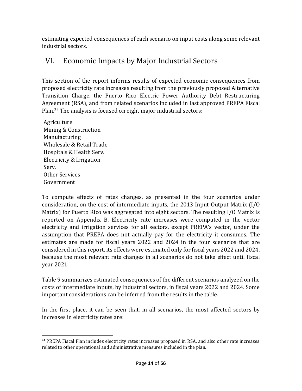estimating expected consequences of each scenario on input costs along some relevant industrial sectors.

### <span id="page-14-0"></span>VI. Economic Impacts by Major Industrial Sectors

This section of the report informs results of expected economic consequences from proposed electricity rate increases resulting from the previously proposed Alternative Transition Charge, the Puerto Rico Electric Power Authority Debt Restructuring Agreement (RSA), and from related scenarios included in last approved PREPA Fiscal Plan.<sup>24</sup> The analysis is focused on eight major industrial sectors:

Agriculture Mining & Construction Manufacturing Wholesale & Retail Trade Hospitals & Health Serv. Electricity & Irrigation Serv. Other Services Government

To compute effects of rates changes, as presented in the four scenarios under consideration, on the cost of intermediate inputs, the 2013 Input-Output Matrix (I/O Matrix) for Puerto Rico was aggregated into eight sectors. The resulting I/O Matrix is reported on Appendix B. Electricity rate increases were computed in the vector electricity and irrigation services for all sectors, except PREPA's vector, under the assumption that PREPA does not actually pay for the electricity it consumes. The estimates are made for fiscal years 2022 and 2024 in the four scenarios that are considered in this report. its effects were estimated only for fiscal years 2022 and 2024, because the most relevant rate changes in all scenarios do not take effect until fiscal year 2021.

Table 9 summarizes estimated consequences of the different scenarios analyzed on the costs of intermediate inputs, by industrial sectors, in fiscal years 2022 and 2024. Some important considerations can be inferred from the results in the table.

In the first place, it can be seen that, in all scenarios, the most affected sectors by increases in electricity rates are:

<sup>&</sup>lt;sup>24</sup> PREPA Fiscal Plan includes electricity rates increases proposed in RSA, and also other rate increases related to other operational and administrative measures included in the plan.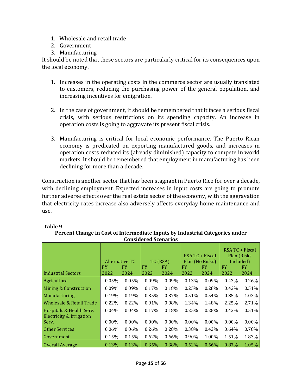- 1. Wholesale and retail trade
- 2. Government
- 3. Manufacturing

It should be noted that these sectors are particularly critical for its consequences upon the local economy.

- 1. Increases in the operating costs in the commerce sector are usually translated to customers, reducing the purchasing power of the general population, and increasing incentives for emigration.
- 2. In the case of government, it should be remembered that it faces a serious fiscal crisis, with serious restrictions on its spending capacity. An increase in operation costs is going to aggravate its present fiscal crisis.
- 3. Manufacturing is critical for local economic performance. The Puerto Rican economy is predicated on exporting manufactured goods, and increases in operation costs reduced its (already diminished) capacity to compete in world markets. It should be remembered that employment in manufacturing has been declining for more than a decade.

Construction is another sector that has been stagnant in Puerto Rico for over a decade, with declining employment. Expected increases in input costs are going to promote further adverse effects over the real estate sector of the economy, with the aggravation that electricity rates increase also adversely affects everyday home maintenance and use.

|                                                      |            |                              | <b>Considered Scenarios</b> |                               |            |                                                   |                   |                                                             |
|------------------------------------------------------|------------|------------------------------|-----------------------------|-------------------------------|------------|---------------------------------------------------|-------------------|-------------------------------------------------------------|
| <b>Industrial Sectors</b>                            | FY<br>2022 | Alternative TC<br>FY<br>2024 | FY<br>2022                  | TC (RSA)<br><b>FY</b><br>2024 | FY<br>2022 | RSA TC + Fiscal<br>Plan (No Risks)<br>FY.<br>2024 | <b>FY</b><br>2022 | RSA TC + Fiscal<br>Plan (Risks)<br>Included)<br>FY.<br>2024 |
| Agriculture                                          | 0.05%      | 0.05%                        | 0.09%                       | $0.09\%$                      | 0.13%      | 0.09%                                             | 0.43%             | 0.26%                                                       |
| Mining & Construction                                | 0.09%      | 0.09%                        | 0.17%                       | 0.18%                         | 0.25%      | 0.28%                                             | 0.42%             | 0.51%                                                       |
| Manufacturing                                        | 0.19%      | 0.19%                        | 0.35%                       | 0.37%                         | 0.51%      | $0.54\%$                                          | 0.85%             | 1.03%                                                       |
| Wholesale & Retail Trade                             | 0.22%      | 0.22%                        | 0.91%                       | 0.98%                         | 1.34%      | 1.48%                                             | 2.25%             | 2.71%                                                       |
| Hospitals & Health Serv.<br>Electricity & Irrigation | 0.04%      | $0.04\%$                     | 0.17%                       | 0.18%                         | 0.25%      | 0.28%                                             | 0.42%             | 0.51%                                                       |
| Serv.                                                | $0.00\%$   | $0.00\%$                     | $0.00\%$                    | $0.00\%$                      | $0.00\%$   | $0.00\%$                                          | $0.00\%$          | $0.00\%$                                                    |
| <b>Other Services</b>                                | $0.06\%$   | $0.06\%$                     | 0.26%                       | 0.28%                         | 0.38%      | 0.42%                                             | 0.64%             | 0.78%                                                       |
| Government                                           | 0.15%      | 0.15%                        | 0.62%                       | 0.66%                         | 0.90%      | 1.00%                                             | 1.51%             | 1.83%                                                       |
| Overall Average                                      | 0.13%      | 0.13%                        | 0.35%                       | 0.38%                         | 0.52%      | 0.56%                                             | 0.87%             | 1.05%                                                       |

#### **Table 9**

#### **Percent Change in Cost of Intermediate Inputs by Industrial Categories under Considered Scenarios**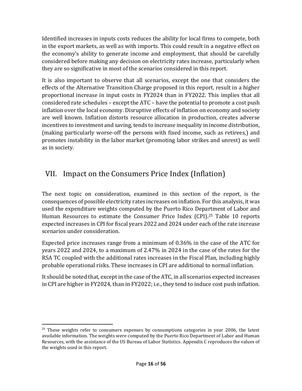Identified increases in inputs costs reduces the ability for local firms to compete, both in the export markets, as well as with imports. This could result in a negative effect on the economy's ability to generate income and employment, that should be carefully considered before making any decision on electricity rates increase, particularly when they are so significative in most of the scenarios considered in this report.

It is also important to observe that all scenarios, except the one that considers the effects of the Alternative Transition Charge proposed in this report, result in a higher proportional increase in input costs in FY2024 than in FY2022. This implies that all considered rate schedules – except the ATC – have the potential to promote a cost push inflation over the local economy. Disruptive effects of inflation on economy and society are well known. Inflation distorts resource allocation in production, creates adverse incentives to investment and saving, tends to increase inequality in income distribution, (making particularly worse-off the persons with fixed income, such as retirees,) and promotes instability in the labor market (promoting labor strikes and unrest) as well as in society.

### <span id="page-16-0"></span>VII. Impact on the Consumers Price Index (Inflation)

The next topic on consideration, examined in this section of the report, is the consequences of possible electricity rates increases on inflation. For this analysis, it was used the expenditure weights computed by the Puerto Rico Department of Labor and Human Resources to estimate the Consumer Price Index (CPI).<sup>25</sup> Table 10 reports expected increases in CPI for fiscal years 2022 and 2024 under each of the rate increase scenarios under consideration.

Expected price increases range from a minimum of 0.36% in the case of the ATC for years 2022 and 2024, to a maximum of 2.47% in 2024 in the case of the rates for the RSA TC coupled with the additional rates increases in the Fiscal Plan, including highly probable operational risks. These increases in CPI are additional to normal inflation.

It should be noted that, except in the case of the ATC, in all scenarios expected increases in CPI are higher in FY2024, than in FY2022; i.e., they tend to induce cost push inflation.

<sup>&</sup>lt;sup>25</sup> These weights refer to consumers expenses by consumptions categories in year 2006, the latest available information. The weights were computed by the Puerto Rico Department of Labor and Human Resources, with the assistance of the US Bureau of Labor Statistics. Appendix C reproduces the values of the weights used in this report.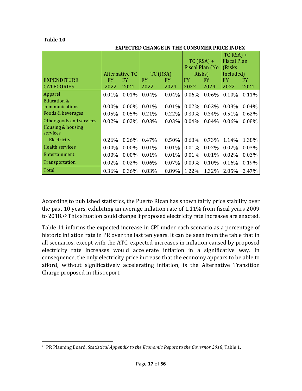#### **Table 10**

#### **EXPECTED CHANGE IN THE CONSUMER PRICE INDEX**

|                          |          |                |          |          |          | $TC$ (RSA) +<br>Fiscal Plan (No | $TC$ RSA) +<br>Fiscal Plan<br>(Risks) |           |
|--------------------------|----------|----------------|----------|----------|----------|---------------------------------|---------------------------------------|-----------|
|                          |          | Alternative TC |          | TC (RSA) |          | Risks)                          | Included)                             |           |
| <b>EXPENDITURE</b>       | FY.      | <b>FY</b>      | FY.      | FY.      | FY.      | <b>FY</b>                       | <b>FY</b>                             | <b>FY</b> |
| <b>CATEGORIES</b>        | 2022     | 2024           | 2022     | 2024     | 2022     | 2024                            | 2022                                  | 2024      |
| Apparel                  | 0.01%    | 0.01%          | 0.04%    | 0.04%    | 0.06%    | 0.06%                           | 0.10%                                 | $0.11\%$  |
| Education &              |          |                |          |          |          |                                 |                                       |           |
| communications           | $0.00\%$ | $0.00\%$       | $0.01\%$ | $0.01\%$ | $0.02\%$ | $0.02\%$                        | 0.03%                                 | $0.04\%$  |
| Foods & beverages        | $0.05\%$ | $0.05\%$       | 0.21%    | $0.22\%$ | $0.30\%$ | 0.34%                           | 0.51%                                 | 0.62%     |
| Other goods and services | $0.02\%$ | $0.02\%$       | 0.03%    | 0.03%    | $0.04\%$ | 0.04%                           | $0.06\%$                              | $0.08\%$  |
| Housing & housing        |          |                |          |          |          |                                 |                                       |           |
| services                 |          |                |          |          |          |                                 |                                       |           |
| Electricity              | $0.26\%$ | $0.26\%$       | 0.47%    | 0.50%    | $0.68\%$ | 0.73%                           | 1.14%                                 | 1.38%     |
| <b>Health services</b>   | $0.00\%$ | $0.00\%$       | $0.01\%$ | 0.01%    | $0.01\%$ | 0.02%                           | $0.02\%$                              | $0.03\%$  |
| Entertainment            | $0.00\%$ | $0.00\%$       | $0.01\%$ | $0.01\%$ | $0.01\%$ | 0.01%                           | $0.02\%$                              | 0.03%     |
| <b>Transportation</b>    | 0.02%    | 0.02%          | 0.06%    | 0.07%    | 0.09%    | 0.10%                           | 0.16%                                 | 0.19%     |
| Total                    | 0.36%    | 0.36%          | 0.83%    | 0.89%    | 1.22%    | 1.32%                           | 2.05%                                 | 2.47%     |

According to published statistics, the Puerto Rican has shown fairly price stability over the past 10 years, exhibiting an average inflation rate of 1.11% from fiscal years 2009 to 2018.<sup>26</sup> This situation could change if proposed electricity rate increases are enacted.

Table 11 informs the expected increase in CPI under each scenario as a percentage of historic inflation rate in PR over the last ten years. It can be seen from the table that in all scenarios, except with the ATC, expected increases in inflation caused by proposed electricity rate increases would accelerate inflation in a significative way. In consequence, the only electricity price increase that the economy appears to be able to afford, without significatively accelerating inflation, is the Alternative Transition Charge proposed in this report.

<sup>26</sup> PR Planning Board, *Statistical Appendix to the Economic Report to the Governor 2018*, Table 1.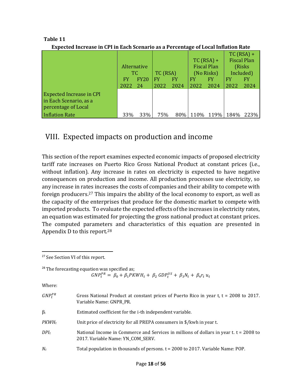| papettea mei euse m ei i m baen beenario as a i ertemage of boear mination nate |      |             |          |      |            |                    |           |                    |
|---------------------------------------------------------------------------------|------|-------------|----------|------|------------|--------------------|-----------|--------------------|
|                                                                                 |      |             |          |      |            |                    |           | $TC$ (RSA) +       |
|                                                                                 |      |             |          |      |            | $TC$ (RSA) +       |           | <b>Fiscal Plan</b> |
|                                                                                 |      | Alternative |          |      |            | <b>Fiscal Plan</b> |           | (Risks)            |
|                                                                                 | ТC.  |             | TC (RSA) |      | (No Risks) |                    | Included) |                    |
|                                                                                 | FY   | <b>FY20</b> | FY       | FY   | FY         | FY                 | FY        | FY                 |
|                                                                                 | 2022 | - 24        | 2022     | 2024 | 2022       | 2024               | 2022      | 2024               |
| Expected Increase in CPI                                                        |      |             |          |      |            |                    |           |                    |
| in Each Scenario, as a                                                          |      |             |          |      |            |                    |           |                    |
| percentage of Local                                                             |      |             |          |      |            |                    |           |                    |
| Inflation Rate                                                                  | 33%  | 33%         | 75%      | 80%  | 110\%      | 119%               | 184%      | 223%               |

#### **Table 11 Expected Increase in CPI in Each Scenario as a Percentage of Local Inflation Rate**

### <span id="page-18-0"></span>VIII. Expected impacts on production and income

This section of the report examines expected economic impacts of proposed electricity tariff rate increases on Puerto Rico Gross National Product at constant prices (i.e., without inflation). Any increase in rates on electricity is expected to have negative consequences on production and income. All production processes use electricity, so any increase in rates increases the costs of companies and their ability to compete with foreign producers.<sup>27</sup> This impairs the ability of the local economy to export, as well as the capacity of the enterprises that produce for the domestic market to compete with imported products. To evaluate the expected effects of the increases in electricity rates, an equation was estimated for projecting the gross national product at constant prices. The computed parameters and characteristics of this equation are presented in Appendix D to this report.<sup>28</sup>

|              | <sup>27</sup> See Section VI of this report.                                                                                                             |
|--------------|----------------------------------------------------------------------------------------------------------------------------------------------------------|
|              | <sup>28</sup> The forecasting equation was specified as;<br>$GNP_t^{PR} = \beta_0 + \beta_1 PKWH_t + \beta_2 GDP_t^{US} + \beta_3 N_t + \beta_4 r_t u_t$ |
| Where:       |                                                                                                                                                          |
| $GNP_t^{PR}$ | Gross National Product at constant prices of Puerto Rico in year t, $t = 2008$ to 2017.<br>Variable Name: GNPR_PR.                                       |
| $\beta_i$    | Estimated coefficient for the <i>i</i> -th independent variable.                                                                                         |
| $PKWH_t$     | Unit price of electricity for all PREPA consumers in \$/kwh in year t.                                                                                   |
| $DPI_t$      | National Income in Commerce and Services in millions of dollars in year t. $t = 2008$ to<br>2017. Variable Name: YN COM SERV.                            |
| $N_t$        | Total population in thousands of persons. t = 2000 to 2017. Variable Name: POP.                                                                          |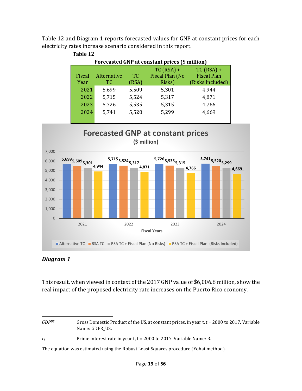

Table 12 and Diagram 1 reports forecasted values for GNP at constant prices for each electricity rates increase scenario considered in this report.



#### *Diagram 1*

This result, when viewed in context of the 2017 GNP value of \$6,006.8 million, show the real impact of the proposed electricity rate increases on the Puerto Rico economy.

*GDP<sup>US</sup>* Gross Domestic Product of the US, at constant prices, in year t. t = 2000 to 2017. Variable Name: GDPR\_US.

*r*<sub>t</sub> Prime interest rate in year t, t = 2000 to 2017. Variable Name: R.

The equation was estimated using the Robust Least Squares procedure (Yohai method).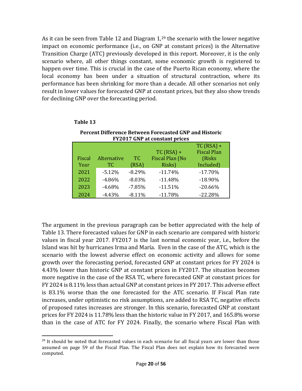As it can be seen from Table 12 and Diagram 1,<sup>29</sup> the scenario with the lower negative impact on economic performance (i.e., on GNP at constant prices) is the Alternative Transition Charge (ATC) previously developed in this report. Moreover, it is the only scenario where, all other things constant, some economic growth is registered to happen over time. This is crucial in the case of the Puerto Rican economy, where the local economy has been under a situation of structural contraction, where its performance has been shrinking for more than a decade. All other scenarios not only result in lower values for forecasted GNP at constant prices, but they also show trends for declining GNP over the forecasting period.

|        | <b>FY2017 GNP at constant prices</b> |          |                 |                    |  |  |
|--------|--------------------------------------|----------|-----------------|--------------------|--|--|
|        |                                      |          |                 | $TC$ (RSA) +       |  |  |
|        |                                      |          | $TC$ (RSA) +    | <b>Fiscal Plan</b> |  |  |
| Fiscal | Alternative                          | TC.      | Fiscal Plan (No | (Risks             |  |  |
| Year   | TC.                                  | (RSA)    | Risks)          | Included)          |  |  |
| 2021   | $-5.12%$                             | $-8.29%$ | $-11.74%$       | $-17.70%$          |  |  |
| 2022   | $-4.86%$                             | $-8.03%$ | $-11.48%$       | $-18.90\%$         |  |  |
| 2023   | $-4.68%$                             | $-7.85%$ | $-11.51%$       | $-20.66%$          |  |  |
| 2024   | $-4.43%$                             | $-8.11%$ | $-11.78%$       | $-22.28%$          |  |  |

#### **Table 13**

**Percent Difference Between Forecasted GNP and Historic FY2017 GNP at constant prices** 

The argument in the previous paragraph can be better appreciated with the help of Table 13. There forecasted values for GNP in each scenario are compared with historic values in fiscal year 2017. FY2017 is the last normal economic year, i.e., before the Island was hit by hurricanes Irma and María. Even in the case of the ATC, which is the scenario with the lowest adverse effect on economic activity and allows for some growth over the forecasting period, forecasted GNP at constant prices for FY 2024 is 4.43% lower than historic GNP at constant prices in FY2017. The situation becomes more negative in the case of the RSA TC, where forecasted GNP at constant prices for FY 2024 is 8.11% less than actual GNP at constant prices in FY 2017. This adverse effect is 83.1% worse than the one forecasted for the ATC scenario. If Fiscal Plan rate increases, under optimistic no risk assumptions, are added to RSA TC, negative effects of proposed rates increases are stronger. In this scenario, forecasted GNP at constant prices for FY 2024 is 11.78% less than the historic value in FY 2017, and 165.8% worse than in the case of ATC for FY 2024. Finally, the scenario where Fiscal Plan with

 $29$  It should be noted that forecasted values in each scenario for all fiscal years are lower than those assumed on page 59 of the Fiscal Plan. The Fiscal Plan does not explain how its forecasted were computed.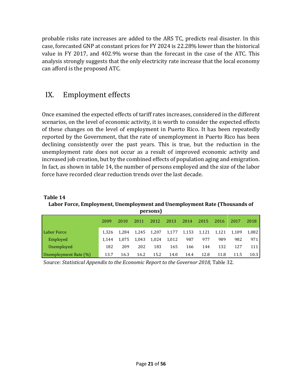probable risks rate increases are added to the ARS TC, predicts real disaster. In this case, forecasted GNP at constant prices for FY 2024 is 22.28% lower than the historical value in FY 2017, and 402.9% worse than the forecast in the case of the ATC. This analysis strongly suggests that the only electricity rate increase that the local economy can afford is the proposed ATC.

### <span id="page-21-0"></span>IX. Employment effects

Once examined the expected effects of tariff rates increases, considered in the different scenarios, on the level of economic activity, it is worth to consider the expected effects of these changes on the level of employment in Puerto Rico. It has been repeatedly reported by the Government, that the rate of unemployment in Puerto Rico has been declining consistently over the past years. This is true, but the reduction in the unemployment rate does not occur as a result of improved economic activity and increased job creation, but by the combined effects of population aging and emigration. In fact, as shown in table 14, the number of persons employed and the size of the labor force have recorded clear reduction trends over the last decade.

| persons)              |       |       |       |       |       |       |       |       |       |       |
|-----------------------|-------|-------|-------|-------|-------|-------|-------|-------|-------|-------|
|                       | 2009  | 2010  | 2011  | 2012  | 2013  | 2014  | 2015  | 2016  | 2017  | 2018  |
| <b>Labor Force</b>    | 1.326 | 1.284 | 1.245 | 1.207 | 1,177 | 1,153 | 1,121 | 1,121 | 1.109 | 1.082 |
| Employed              | 1.144 | 1.075 | 1.043 | 1.024 | 1,012 | 987   | 977   | 989   | 982   | 971   |
| Unemployed            | 182   | 209   | 202   | 183   | 165   | 166   | 144   | 132   | 127   | 111   |
| Unemployment Rate (%) | 13.7  | 16.3  | 16.2  | 15.2  | 14.0  | 14.4  | 12.8  | 11.8  | 11.5  | 10.3  |

**Table 14 Labor Force, Employment, Unemployment and Unemployment Rate (Thousands of** 

Source: *Statistical Appendix to the Economic Report to the Governor 2018,* Table 32.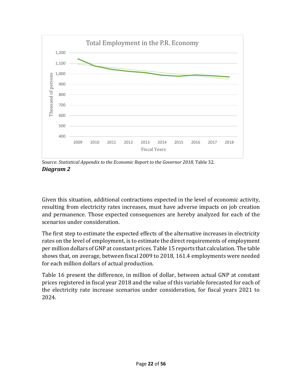

Source: *Statistical Appendix to the Economic Report to the Governor 2018, Table 32. Diagram 2*

Given this situation, additional contractions expected in the level of economic activity, resulting from electricity rates increases, must have adverse impacts on job creation and permanence. Those expected consequences are hereby analyzed for each of the scenarios under consideration.

The first step to estimate the expected effects of the alternative increases in electricity rates on the level of employment, is to estimate the direct requirements of employment per million dollars of GNP at constant prices. Table 15 reports that calculation. The table shows that, on average, between fiscal 2009 to 2018, 161.4 employments were needed for each million dollars of actual production.

Table 16 present the difference, in million of dollar, between actual GNP at constant prices registered in fiscal year 2018 and the value of this variable forecasted for each of the electricity rate increase scenarios under consideration, for fiscal years 2021 to 2024.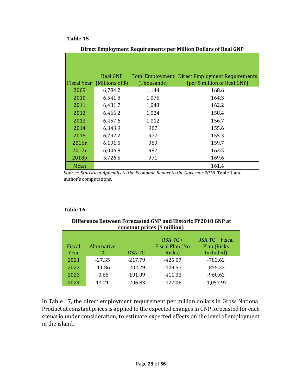#### **Table 15**

|       | <b>Real GNP</b>              |             | Total Employment Direct Employment Requirements |
|-------|------------------------------|-------------|-------------------------------------------------|
|       | Fiscal Year (Millions of \$) | (Thousands) | (per \$ million of Real GNP)                    |
| 2009  | 6,784.2                      | 1,144       | 168.6                                           |
| 2010  | 6,541.8                      | 1,075       | 164.3                                           |
| 2011  | 6,431.7                      | 1,043       | 162.2                                           |
| 2012  | 6,466.2                      | 1,024       | 158.4                                           |
| 2013  | 6,457.6                      | 1,012       | 156.7                                           |
| 2014  | 6,343.9                      | 987         | 155.6                                           |
| 2015  | 6,292.2                      | 977         | 155.3                                           |
| 2016r | 6,191.5                      | 989         | 159.7                                           |
| 2017r | 6,006.8                      | 982         | 163.5                                           |
| 2018p | 5,726.5                      | 971         | 169.6                                           |
| Mean  |                              |             | 161.4                                           |

**Direct Employment Requirements per Million Dollars of Real GNP**

Source: *Statistical Appendix to the Economic Report to the Governor 2018*, Table 1 and author's computations.

#### **Table 16**

| <b>Difference Between Forecasted GNP and Historic FY2018 GNP at</b> |
|---------------------------------------------------------------------|
| constant prices (\$ million)                                        |

|        |             |              | $RSATC +$       | RSA TC + Fiscal |
|--------|-------------|--------------|-----------------|-----------------|
| Fiscal | Alternative |              | Fiscal Plan (No | Plan (Risks     |
| Year   | TC.         | <b>RSATC</b> | Risks)          | Included)       |
| 2021   | $-27.35$    | $-217.79$    | $-425.07$       | $-782.62$       |
| 2022   | $-11.86$    | $-202.29$    | $-409.57$       | $-855.22$       |
| 2023   | $-0.66$     | $-191.09$    | $-411.33$       | $-960.62$       |
| 2024   | 14.21       | $-206.83$    | $-427.06$       | $-1,057.97$     |

In Table 17, the direct employment requirement per million dollars in Gross National Product at constant prices is applied to the expected changes in GNP forecasted for each scenario under consideration, to estimate expected effects on the level of employment in the island.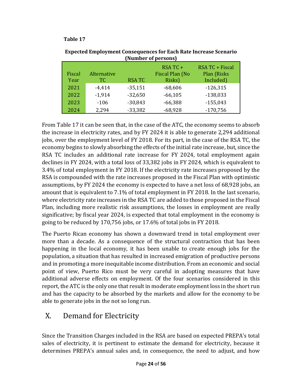#### **Table 17**

|                |                    |              | <b>NUMBER OF PERSONS</b>              |                                             |
|----------------|--------------------|--------------|---------------------------------------|---------------------------------------------|
| Fiscal<br>Year | Alternative<br>TC. | <b>RSATC</b> | RSA TC +<br>Fiscal Plan (No<br>Risks) | RSA TC + Fiscal<br>Plan (Risks<br>Included) |
| 2021           | $-4,414$           | $-35,151$    | $-68,606$                             | $-126,315$                                  |
| 2022           | $-1,914$           | $-32,650$    | $-66,105$                             | $-138,033$                                  |
| 2023           | $-106$             | $-30,843$    | $-66,388$                             | $-155,043$                                  |
| 2024           | 2,294              | $-33,382$    | $-68,928$                             | $-170,756$                                  |

**Expected Employment Consequences for Each Rate Increase Scenario (Number of persons)**

From Table 17 it can be seen that, in the case of the ATC, the economy seems to absorb the increase in electricity rates, and by FY 2024 it is able to generate 2,294 additional jobs, over the employment level of FY 2018. For its part, in the case of the RSA TC, the economy begins to slowly absorbing the effects of the initial rate increase, but, since the RSA TC includes an additional rate increase for FY 2024, total employment again declines in FY 2024, with a total loss of 33,382 jobs in FY 2024, which is equivalent to 3.4% of total employment in FY 2018. If the electricity rate increases proposed by the RSA is compounded with the rate increases proposed in the Fiscal Plan with optimistic assumptions, by FY 2024 the economy is expected to have a net loss of 68,928 jobs, an amount that is equivalent to 7.1% of total employment in FY 2018. In the last scenario, where electricity rate increases in the RSA TC are added to those proposed in the Fiscal Plan, including more realistic risk assumptions, the losses in employment are really significative; by fiscal year 2024, is expected that total employment in the economy is going to be reduced by 170,756 jobs, or 17.6% of total jobs in FY 2018.

The Puerto Rican economy has shown a downward trend in total employment over more than a decade. As a consequence of the structural contraction that has been happening in the local economy, it has been unable to create enough jobs for the population, a situation that has resulted in increased emigration of productive persons and in promoting a more inequitable income distribution. From an economic and social point of view, Puerto Rico must be very careful in adopting measures that have additional adverse effects on employment. Of the four scenarios considered in this report, the ATC is the only one that result in moderate employment loss in the short run and has the capacity to be absorbed by the markets and allow for the economy to be able to generate jobs in the not so long run.

### <span id="page-24-0"></span>X. Demand for Electricity

Since the Transition Charges included in the RSA are based on expected PREPA's total sales of electricity, it is pertinent to estimate the demand for electricity, because it determines PREPA's annual sales and, in consequence, the need to adjust, and how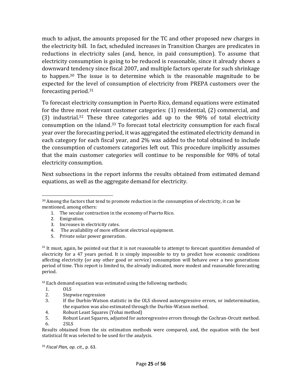much to adjust, the amounts proposed for the TC and other proposed new charges in the electricity bill. In fact, scheduled increases in Transition Charges are predicates in reductions in electricity sales (and, hence, in paid consumption). To assume that electricity consumption is going to be reduced is reasonable, since it already shows a downward tendency since fiscal 2007, and multiple factors operate for such shrinkage to happen.<sup>30</sup> The issue is to determine which is the reasonable magnitude to be expected for the level of consumption of electricity from PREPA customers over the forecasting period. 31

To forecast electricity consumption in Puerto Rico, demand equations were estimated for the three most relevant customer categories: (1) residential, (2) commercial, and (3) industrial.<sup>32</sup> These three categories add up to the 98% of total electricity consumption on the island.<sup>33</sup> To forecast total electricity consumption for each fiscal year over the forecasting period, it was aggregated the estimated electricity demand in each category for each fiscal year, and 2% was added to the total obtained to include the consumption of customers categories left out. This procedure implicitly assumes that the main customer categories will continue to be responsible for 98% of total electricity consumption.

Next subsections in the report informs the results obtained from estimated demand equations, as well as the aggregate demand for electricity.

- 1. The secular contraction in the economy of Puerto Rico.
- 2. Emigration.
- 3. Increases in electricity rates.
- 4. The availability of more efficient electrical equipment.
- 5. Private solar power generation.

<sup>31</sup> It must, again, be pointed out that it is not reasonable to attempt to forecast quantities demanded of electricity for a 47 years period. It is simply impossible to try to predict how economic conditions affecting electricity (or any other good or service) consumption will behave over a two generations period of time. This report is limited to, the already indicated, more modest and reasonable forecasting period.

 $32$  Each demand equation was estimated using the following methods;

- 1. OLS
- 2. Stepwise regression
- 3. If the Durbin-Watson statistic in the OLS showed autoregressive errors, or indetermination, the equation was also estimated through the Durbin-Watson method.
- 4. Robust Least Squares (Yohai method)
- 5. Robust Least Squares, adjusted for autoregressive errors through the Cochran-Orcutt method. 6. 2SLS

Results obtained from the six estimation methods were compared, and, the equation with the best statistical fit was selected to be used for the analysis.

<sup>33</sup> *Fiscal Plan, op. cit.,* p. 63.

<sup>&</sup>lt;sup>30</sup> Among the factors that tend to promote reduction in the consumption of electricity, it can be mentioned, among others: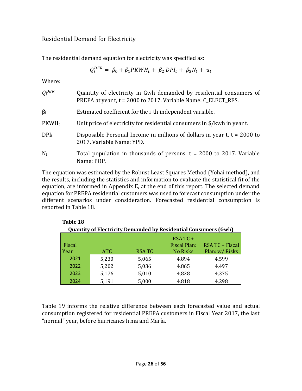#### <span id="page-26-0"></span>Residential Demand for Electricity

The residential demand equation for electricity was specified as:

$$
Q_t^{DER} = \beta_0 + \beta_1 PKWH_t + \beta_2 DPI_t + \beta_3 N_t + u_t
$$

Where:

| $Q_t^{DER}$ | Quantity of electricity in Gwh demanded by residential consumers of<br>PREPA at year t, t = 2000 to 2017. Variable Name: C_ELECT_RES. |
|-------------|---------------------------------------------------------------------------------------------------------------------------------------|
| $\beta_i$   | Estimated coefficient for the i-th independent variable.                                                                              |
| $PKWH_t$    | Unit price of electricity for residential consumers in \$/kwh in year t.                                                              |
| $DPI_t$     | Disposable Personal Income in millions of dollars in year t. $t = 2000$ to<br>2017. Variable Name: YPD.                               |
| $N_t$       | Total population in thousands of persons. $t = 2000$ to 2017. Variable<br>Name: POP.                                                  |

The equation was estimated by the Robust Least Squares Method (Yohai method), and the results, including the statistics and information to evaluate the statistical fit of the equation, are informed in Appendix E, at the end of this report. The selected demand equation for PREPA residential customers was used to forecast consumption under the different scenarios under consideration. Forecasted residential consumption is reported in Table 18.

| Table 18 |       |                                                                        |                     |                 |
|----------|-------|------------------------------------------------------------------------|---------------------|-----------------|
|          |       | <b>Quantity of Electricity Demanded by Residential Consumers (Gwh)</b> |                     |                 |
|          |       |                                                                        | $RSATC +$           |                 |
| Fiscal   |       |                                                                        | <b>Fiscal Plan:</b> | RSA TC + Fiscal |
| Year     | ATC   | <b>RSA TC</b>                                                          | <b>No Risks</b>     | Plan: w/ Risks  |
| 2021     | 5,230 | 5,065                                                                  | 4,894               | 4,599           |
| 2022     | 5,202 | 5,036                                                                  | 4,865               | 4,497           |
| 2023     | 5,176 | 5,010                                                                  | 4,828               | 4,375           |
| 2024     | 5,191 | 5,000                                                                  | 4,818               | 4,298           |

Table 19 informs the relative difference between each forecasted value and actual consumption registered for residential PREPA customers in Fiscal Year 2017, the last "normal" year, before hurricanes Irma and María.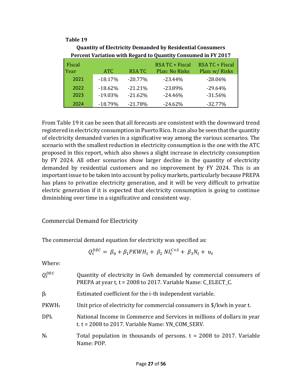#### **Table 19**

|                |                        |                        | Percent variation with Regard to Quantity Consumed in FY 2017 |                                   |
|----------------|------------------------|------------------------|---------------------------------------------------------------|-----------------------------------|
| Fiscal<br>Year | ATC.                   | <b>RSATC</b>           | RSA TC + Fiscal<br>Plan: No Risks                             | RSA TC + Fiscal<br>Plan: w/ Risks |
| 2021           | $-18.17%$              | $-20.77%$              | $-23.44%$                                                     | $-28.06%$                         |
| 2022<br>2023   | $-18.62%$<br>$-19.03%$ | $-21.21%$<br>$-21.62%$ | $-23.89%$<br>$-24.46%$                                        | $-29.64%$<br>$-31.56%$            |
| 2024           | $-18.79%$              | $-21.78%$              | $-24.62%$                                                     | $-32.77%$                         |

**Quantity of Electricity Demanded by Residential Consumers Percent Variation with Regard to Quantity Consumed in FY 2017**

From Table 19 it can be seen that all forecasts are consistent with the downward trend registered in electricity consumption in Puerto Rico. It can also be seen that the quantity of electricity demanded varies in a significative way among the various scenarios. The scenario with the smallest reduction in electricity consumption is the one with the ATC proposed in this report, which also shows a slight increase in electricity consumption by FY 2024. All other scenarios show larger decline in the quantity of electricity demanded by residential customers and no improvement by FY 2024. This is an important issue to be taken into account by policy markets, particularly because PREPA has plans to privatize electricity generation, and it will be very difficult to privatize electric generation if it is expected that electricity consumption is going to continue diminishing over time in a significative and consistent way.

#### <span id="page-27-0"></span>Commercial Demand for Electricity

The commercial demand equation for electricity was specified as:

$$
Q_t^{DEC} = \beta_0 + \beta_1 PKWH_t + \beta_2 NI_t^{C+S} + \beta_3 N_t + u_t
$$

Where:

| $Q_t^{DEC}$ | Quantity of electricity in Gwh demanded by commercial consumers of<br>PREPA at year t, t = 2008 to 2017. Variable Name: C_ELECT_C. |
|-------------|------------------------------------------------------------------------------------------------------------------------------------|
| $\beta_i$   | Estimated coefficient for the i-th independent variable.                                                                           |
| $PKWH_t$    | Unit price of electricity for commercial consumers in $\frac{1}{2}$ /kwh in year t.                                                |
| $DPI_t$     | National Income in Commerce and Services in millions of dollars in year<br>t. $t = 2008$ to 2017. Variable Name: YN COM SERV.      |
| $N_t$       | Total population in thousands of persons. $t = 2008$ to 2017. Variable<br>Name: POP.                                               |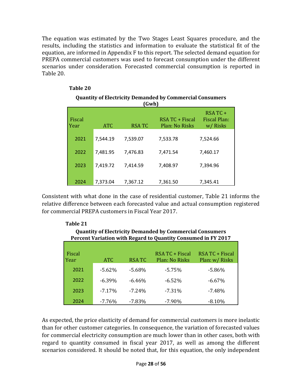The equation was estimated by the Two Stages Least Squares procedure, and the results, including the statistics and information to evaluate the statistical fit of the equation, are informed in Appendix F to this report. The selected demand equation for PREPA commercial customers was used to forecast consumption under the different scenarios under consideration. Forecasted commercial consumption is reported in Table 20.

| <b>Quantity of Electricity Demanded by Commercial Consumers</b><br>(Gwh) |            |              |                                   |                                            |  |  |
|--------------------------------------------------------------------------|------------|--------------|-----------------------------------|--------------------------------------------|--|--|
| Fiscal<br>l Year                                                         | <b>ATC</b> | <b>RSATC</b> | RSA TC + Fiscal<br>Plan: No Risks | RSA TC +<br><b>Fiscal Plan:</b><br>w/Risks |  |  |
| 2021                                                                     | 7.544.19   | 7,539.07     | 7,533.78                          | 7,524.66                                   |  |  |
| 2022                                                                     | 7,481.95   | 7,476.83     | 7,471.54                          | 7,460.17                                   |  |  |
| 2023                                                                     | 7,419.72   | 7,414.59     | 7,408.97                          | 7,394.96                                   |  |  |
| 2024                                                                     | 7,373.04   | 7,367.12     | 7,361.50                          | 7,345.41                                   |  |  |

#### **Table 20**

#### 2024 7,373.04 7,367.12 7,361.50 7,345.41 Consistent with what done in the case of residential customer, Table 21 informs the

relative difference between each forecasted value and actual consumption registered for commercial PREPA customers in Fiscal Year 2017.

| <b>Quantity of Electricity Demanded by Commercial Consumers</b><br>Percent Variation with Regard to Quantity Consumed in FY 2017 |           |              |                                          |                                   |  |  |  |
|----------------------------------------------------------------------------------------------------------------------------------|-----------|--------------|------------------------------------------|-----------------------------------|--|--|--|
| Fiscal<br>Year                                                                                                                   | ATC.      | <b>RSATC</b> | RSA TC + Fiscal<br><b>Plan: No Risks</b> | RSA TC + Fiscal<br>Plan: w/ Risks |  |  |  |
| 2021                                                                                                                             | $-5.62%$  | $-5.68\%$    | $-5.75%$                                 | $-5.86\%$                         |  |  |  |
| 2022                                                                                                                             | $-6.39\%$ | $-6.46%$     | $-6.52\%$                                | $-6.67\%$                         |  |  |  |
| 2023                                                                                                                             | $-7.17\%$ | $-7.24%$     | $-7.31\%$                                | $-7.48%$                          |  |  |  |
| 2024                                                                                                                             | $-7.76\%$ | $-7.83\%$    | $-7.90\%$                                | $-8.10%$                          |  |  |  |

#### **Table 21**

As expected, the price elasticity of demand for commercial customers is more inelastic than for other customer categories. In consequence, the variation of forecasted values for commercial electricity consumption are much lower than in other cases, both with regard to quantity consumed in fiscal year 2017, as well as among the different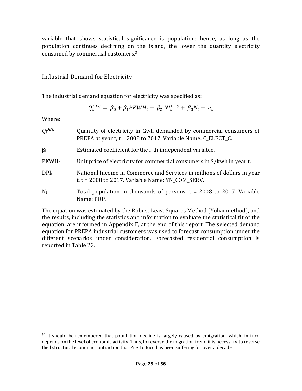variable that shows statistical significance is population; hence, as long as the population continues declining on the island, the lower the quantity electricity consumed by commercial customers.<sup>34</sup>

#### <span id="page-29-0"></span>Industrial Demand for Electricity

The industrial demand equation for electricity was specified as:

$$
Q_t^{DEC} = \beta_0 + \beta_1 PKWH_t + \beta_2 NI_t^{C+S} + \beta_3 N_t + u_t
$$

Where:

| $Q_t^{DEC}$ | Quantity of electricity in Gwh demanded by commercial consumers of<br>PREPA at year t, t = 2008 to 2017. Variable Name: C_ELECT_C. |
|-------------|------------------------------------------------------------------------------------------------------------------------------------|
| $\beta_i$   | Estimated coefficient for the i-th independent variable.                                                                           |
| $PKWH_t$    | Unit price of electricity for commercial consumers in \$/kwh in year t.                                                            |
| $DPI_t$     | National Income in Commerce and Services in millions of dollars in year<br>t. $t = 2008$ to 2017. Variable Name: YN_COM_SERV.      |
| $N_t$       | Total population in thousands of persons. $t = 2008$ to 2017. Variable<br>Name: POP.                                               |

The equation was estimated by the Robust Least Squares Method (Yohai method), and the results, including the statistics and information to evaluate the statistical fit of the equation, are informed in Appendix F, at the end of this report. The selected demand equation for PREPA industrial customers was used to forecast consumption under the different scenarios under consideration. Forecasted residential consumption is reported in Table 22.

<sup>&</sup>lt;sup>34</sup> It should be remembered that population decline is largely caused by emigration, which, in turn depends on the level of economic activity. Thus, to reverse the migration trend it is necessary to reverse the l structural economic contraction that Puerto Rico has been suffering for over a decade.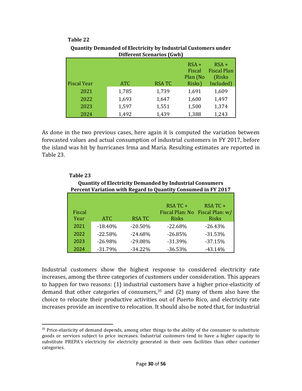#### **Table 22**

|                    |            |              | $RSA +$<br>Fiscal<br>Plan (No | $RSA +$<br><b>Fiscal Plan</b><br>(Risks |
|--------------------|------------|--------------|-------------------------------|-----------------------------------------|
| <b>Fiscal Year</b> | <b>ATC</b> | <b>RSATC</b> | Risks)                        | Included)                               |
| 2021               | 1,785      | 1,739        | 1,691                         | 1,609                                   |
| 2022               | 1,693      | 1,647        | 1,600                         | 1,497                                   |
| 2023               | 1,597      | 1,551        | 1,500                         | 1,374                                   |
| 2024               | 1,492      | 1,439        | 1,388                         | 1,243                                   |

#### **Quantity Demanded of Electricity by Industrial Customers under Different Scenarios (Gwh)**

As done in the two previous cases, here again it is computed the variation between forecasted values and actual consumption of industrial customers in FY 2017, before the island was hit by hurricanes Irma and María. Resulting estimates are reported in Table 23.

| Table 23                                                      |                                                                 |              |              |                                 |  |  |  |  |  |
|---------------------------------------------------------------|-----------------------------------------------------------------|--------------|--------------|---------------------------------|--|--|--|--|--|
|                                                               | <b>Quantity of Electricity Demanded by Industrial Consumers</b> |              |              |                                 |  |  |  |  |  |
| Percent Variation with Regard to Quantity Consumed in FY 2017 |                                                                 |              |              |                                 |  |  |  |  |  |
|                                                               |                                                                 |              |              |                                 |  |  |  |  |  |
|                                                               |                                                                 |              | $RSATC +$    | RSA TC +                        |  |  |  |  |  |
| Fiscal                                                        |                                                                 |              |              | Fiscal Plan: No Fiscal Plan: w/ |  |  |  |  |  |
| Year                                                          | <b>ATC</b>                                                      | <b>RSATC</b> | <b>Risks</b> | <b>Risks</b>                    |  |  |  |  |  |
| 2021                                                          | $-18.40%$                                                       | $-20.50%$    | $-22.68%$    | $-26.43%$                       |  |  |  |  |  |
| 2022                                                          | $-22.58%$                                                       | $-24.68\%$   | $-26.85%$    | $-31.53\%$                      |  |  |  |  |  |
| 2023                                                          | $-26.98%$                                                       | $-29.08%$    | $-31.39%$    | $-37.15%$                       |  |  |  |  |  |
| 2024                                                          | $-31.79%$                                                       | $-34.22\%$   | $-36.53%$    | $-43.14%$                       |  |  |  |  |  |

#### Industrial customers show the highest response to considered electricity rate increases, among the three categories of customers under consideration. This appears to happen for two reasons: (1) industrial customers have a higher price-elasticity of demand that other categories of consumers, $35$  and (2) many of them also have the choice to relocate their productive activities out of Puerto Rico, and electricity rate increases provide an incentive to relocation. It should also be noted that, for industrial

<sup>&</sup>lt;sup>35</sup> Price-elasticity of demand depends, among other things to the ability of the consumer to substitute goods or services subject to price increases. Industrial customers tend to have a higher capacity to substitute PREPA's electricity for electricity generated in their own facilities than other customer categories.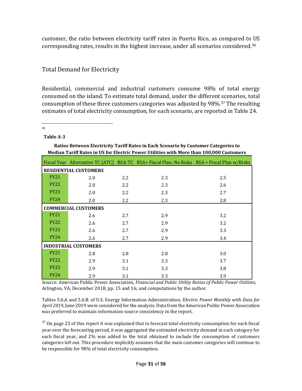customer, the ratio between electricity tariff rates in Puerto Rico, as compared to US corresponding rates, results in the highest increase, under all scenarios considered.<sup>36</sup>

### <span id="page-31-0"></span>Total Demand for Electricity

Residential, commercial and industrial customers consume 98% of total energy consumed on the island. To estimate total demand, under the different scenarios, total consumption of these three customers categories was adjusted by 98%.<sup>37</sup> The resulting estimates of total electricity consumption, for each scenario, are reported in Table 24.

36

#### **Table A-3**

|             | Median Tariff Rates in US for Electric Power Utilities with More than 100,000 Customers |     |                                                                                              |     |  |  |  |  |  |
|-------------|-----------------------------------------------------------------------------------------|-----|----------------------------------------------------------------------------------------------|-----|--|--|--|--|--|
|             |                                                                                         |     | Fiscal Year Alternative TC (ATC) RSA-TC RSA+ Fiscal Plan: No Risks RSA + Fiscal Plan w/Risks |     |  |  |  |  |  |
|             | <b>RESIDENTIAL CUSTOMERS</b>                                                            |     |                                                                                              |     |  |  |  |  |  |
| <b>FY21</b> | 2.0                                                                                     | 2.2 | 2.3                                                                                          | 2.5 |  |  |  |  |  |
| <b>FY22</b> | 2.0                                                                                     | 2.2 | 2.3                                                                                          | 2.6 |  |  |  |  |  |
| <b>FY23</b> | 2.0                                                                                     | 2.2 | 2.3                                                                                          | 2.7 |  |  |  |  |  |
| <b>FY24</b> | 2.0                                                                                     | 2.2 | 2.3                                                                                          | 2.8 |  |  |  |  |  |
|             | <b>COMMERCIAL CUSTOMERS</b>                                                             |     |                                                                                              |     |  |  |  |  |  |
| <b>FY21</b> | 2.6                                                                                     | 2.7 | 2.9                                                                                          | 3.2 |  |  |  |  |  |
| <b>FY22</b> | 2.6                                                                                     | 2.7 | 2.9                                                                                          | 3.2 |  |  |  |  |  |
| <b>FY23</b> | 2.6                                                                                     | 2.7 | 2.9                                                                                          | 3.3 |  |  |  |  |  |
| <b>FY24</b> | 2.6                                                                                     | 2.7 | 2.9                                                                                          | 3.4 |  |  |  |  |  |
|             | <b>INDUSTRIAL CUSTOMERS</b>                                                             |     |                                                                                              |     |  |  |  |  |  |
| <b>FY21</b> | 2.8                                                                                     | 2.8 | 2.8                                                                                          | 3.0 |  |  |  |  |  |
| <b>FY22</b> | 2.9                                                                                     | 3.1 | 3.3                                                                                          | 3.7 |  |  |  |  |  |
| <b>FY23</b> | 2.9                                                                                     | 3.1 | 3.3                                                                                          | 3.8 |  |  |  |  |  |
| <b>FY24</b> | 2.9                                                                                     | 3.1 | 3.3                                                                                          | 3.9 |  |  |  |  |  |

**Ratios Between Electricity Tariff Rates in Each Scenario by Customer Categories to**

Source: American Public Power Association, *Financial and Public Utility Ratios of Public Power Utilities,*  Arlington, VA, December 2018, pp. 15 and 16; and computations by the author.

Tables 5.6.A and 5.6.B. of U.S. Energy Information Administration, *Electric Power Monthly with Data for April 2019*, June 2019 were considered for the analysis. Data from the American Public Power Association was preferred to maintain information source consistency in the report.

<sup>37</sup> On page 23 of this report it was explained that to forecast total electricity consumption for each fiscal year over the forecasting period, it was aggregated the estimated electricity demand in each category for each fiscal year, and 2% was added to the total obtained to include the consumption of customers categories left out. This procedure implicitly assumes that the main customer categories will continue to be responsible for 98% of total electricity consumption.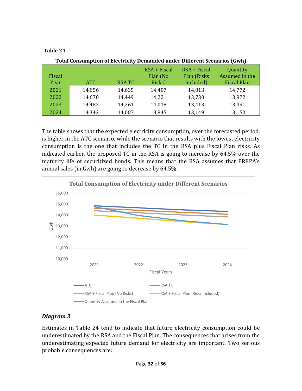#### **Table 24**

|        | <b>Total Consumption of Electricity Demanded under Different Scenarios (Gwh)</b> |              |                            |                                |                            |  |  |
|--------|----------------------------------------------------------------------------------|--------------|----------------------------|--------------------------------|----------------------------|--|--|
| Fiscal |                                                                                  |              | $RSA + Fiscal$<br>Plan (No | $RSA + Fiscal$<br>Plan (Risks) | Quantity<br>Assumed in the |  |  |
| Year   | ATC                                                                              | <b>RSATC</b> | Risks)                     | Included)                      | <b>Fiscal Plan</b>         |  |  |
| 2021   | 14,856                                                                           | 14,635       | 14,407                     | 14,013                         | 14,772                     |  |  |
| 2022   | 14,670                                                                           | 14,449       | 14,221                     | 13,730                         | 13,972                     |  |  |
| 2023   | 14,482                                                                           | 14,261       | 14,018                     | 13,413                         | 13,491                     |  |  |
| 2024   | 14,343                                                                           | 14,087       | 13,845                     | 13,149                         | 13,150                     |  |  |

The table shows that the expected electricity consumption, over the forecasted period, is higher in the ATC scenario, while the scenario that results with the lowest electricity consumption is the one that includes the TC in the RSA plus Fiscal Plan risks. As indicated earlier, the proposed TC in the RSA is going to increase by 64.5% over the maturity life of securitized bonds. This means that the RSA assumes that PREPA's annual sales (in Gwh) are going to decrease by 64.5%.



#### *Diagram 3*

Estimates in Table 24 tend to indicate that future electricity consumption could be underestimated by the RSA and the Fiscal Plan. The consequences that arises from the underestimating expected future demand for electricity are important. Two serious probable consequences are: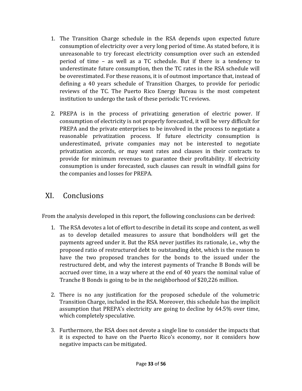- 1. The Transition Charge schedule in the RSA depends upon expected future consumption of electricity over a very long period of time. As stated before, it is unreasonable to try forecast electricity consumption over such an extended period of time – as well as a TC schedule. But if there is a tendency to underestimate future consumption, then the TC rates in the RSA schedule will be overestimated. For these reasons, it is of outmost importance that, instead of defining a 40 years schedule of Transition Charges, to provide for periodic reviews of the TC. The Puerto Rico Energy Bureau is the most competent institution to undergo the task of these periodic TC reviews.
- 2. PREPA is in the process of privatizing generation of electric power. If consumption of electricity is not properly forecasted, it will be very difficult for PREPA and the private enterprises to be involved in the process to negotiate a reasonable privatization process. If future electricity consumption is underestimated, private companies may not be interested to negotiate privatization accords, or may want rates and clauses in their contracts to provide for minimum revenues to guarantee their profitability. If electricity consumption is under forecasted, such clauses can result in windfall gains for the companies and losses for PREPA.

### <span id="page-33-0"></span>XI. Conclusions

From the analysis developed in this report, the following conclusions can be derived:

- 1. The RSA devotes a lot of effort to describe in detail its scope and content, as well as to develop detailed measures to assure that bondholders will get the payments agreed under it. But the RSA never justifies its rationale, i.e., why the proposed ratio of restructured debt to outstanding debt, which is the reason to have the two proposed tranches for the bonds to the issued under the restructured debt, and why the interest payments of Tranche B Bonds will be accrued over time, in a way where at the end of 40 years the nominal value of Tranche B Bonds is going to be in the neighborhood of \$20,226 million.
- 2. There is no any justification for the proposed schedule of the volumetric Transition Charge, included in the RSA. Moreover, this schedule has the implicit assumption that PREPA's electricity are going to decline by 64.5% over time, which completely speculative.
- 3. Furthermore, the RSA does not devote a single line to consider the impacts that it is expected to have on the Puerto Rico's economy, nor it considers how negative impacts can be mitigated.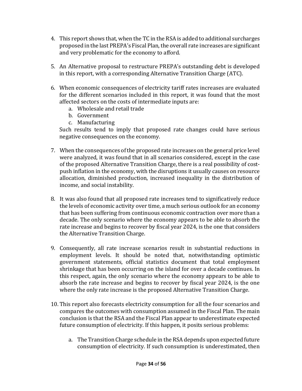- 4. This report shows that, when the TC in the RSA is added to additional surcharges proposed in the last PREPA's Fiscal Plan, the overall rate increases are significant and very problematic for the economy to afford.
- 5. An Alternative proposal to restructure PREPA's outstanding debt is developed in this report, with a corresponding Alternative Transition Charge (ATC).
- 6. When economic consequences of electricity tariff rates increases are evaluated for the different scenarios included in this report, it was found that the most affected sectors on the costs of intermediate inputs are:
	- a. Wholesale and retail trade
	- b. Government
	- c. Manufacturing

Such results tend to imply that proposed rate changes could have serious negative consequences on the economy.

- 7. When the consequences of the proposed rate increases on the general price level were analyzed, it was found that in all scenarios considered, except in the case of the proposed Alternative Transition Charge, there is a real possibility of costpush inflation in the economy, with the disruptions it usually causes on resource allocation, diminished production, increased inequality in the distribution of income, and social instability.
- 8. It was also found that all proposed rate increases tend to significatively reduce the levels of economic activity over time, a much serious outlook for an economy that has been suffering from continuous economic contraction over more than a decade. The only scenario where the economy appears to be able to absorb the rate increase and begins to recover by fiscal year 2024, is the one that considers the Alternative Transition Charge.
- 9. Consequently, all rate increase scenarios result in substantial reductions in employment levels. It should be noted that, notwithstanding optimistic government statements, official statistics document that total employment shrinkage that has been occurring on the island for over a decade continues. In this respect, again, the only scenario where the economy appears to be able to absorb the rate increase and begins to recover by fiscal year 2024, is the one where the only rate increase is the proposed Alternative Transition Charge.
- 10. This report also forecasts electricity consumption for all the four scenarios and compares the outcomes with consumption assumed in the Fiscal Plan. The main conclusion is that the RSA and the Fiscal Plan appear to underestimate expected future consumption of electricity. If this happen, it posits serious problems:
	- a. The Transition Charge schedule in the RSA depends upon expected future consumption of electricity. If such consumption is underestimated, then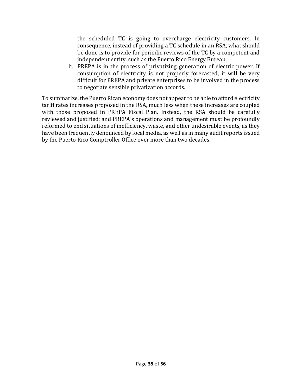the scheduled TC is going to overcharge electricity customers. In consequence, instead of providing a TC schedule in an RSA, what should be done is to provide for periodic reviews of the TC by a competent and independent entity, such as the Puerto Rico Energy Bureau.

b. PREPA is in the process of privatizing generation of electric power. If consumption of electricity is not properly forecasted, it will be very difficult for PREPA and private enterprises to be involved in the process to negotiate sensible privatization accords.

To summarize, the Puerto Rican economy does not appear to be able to afford electricity tariff rates increases proposed in the RSA, much less when these increases are coupled with those proposed in PREPA Fiscal Plan. Instead, the RSA should be carefully reviewed and justified; and PREPA's operations and management must be profoundly reformed to end situations of inefficiency, waste, and other undesirable events, as they have been frequently denounced by local media, as well as in many audit reports issued by the Puerto Rico Comptroller Office over more than two decades.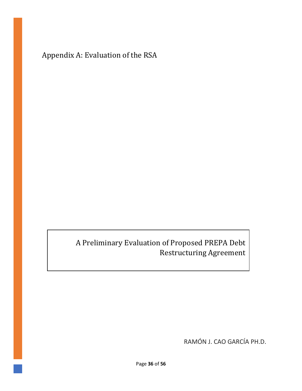<span id="page-36-0"></span>Appendix A: Evaluation of the RSA

A Preliminary Evaluation of Proposed PREPA Debt Restructuring Agreement

RAMÓN J. CAO GARCÍA PH.D.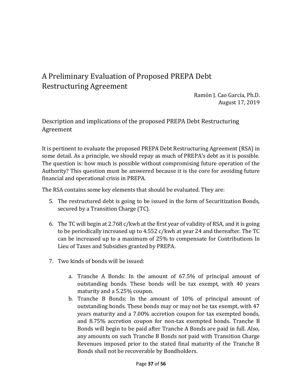### <span id="page-37-0"></span>A Preliminary Evaluation of Proposed PREPA Debt Restructuring Agreement

Ramón J. Cao García, Ph.D. August 17, 2019

#### <span id="page-37-1"></span>Description and implications of the proposed PREPA Debt Restructuring Agreement

It is pertinent to evaluate the proposed PREPA Debt Restructuring Agreement (RSA) in some detail. As a principle, we should repay as much of PREPA's debt as it is possible. The question is: how much is possible without compromising future operation of the Authority? This question must be answered because it is the core for avoiding future financial and operational crisis in PREPA.

The RSA contains some key elements that should be evaluated. They are:

- 5. The restructured debt is going to be issued in the form of Securitization Bonds, secured by a Transition Charge (TC).
- 6. The TC will begin at 2.768 c/kwh at the first year of validity of RSA, and it is going to be periodically increased up to 4.552 c/kwh at year 24 and thereafter. The TC can be increased up to a maximum of 25% to compensate for Contributions In Lieu of Taxes and Subsidies granted by PREPA.
- 7. Two kinds of bonds will be issued:
	- a. Tranche A Bonds: In the amount of 67.5% of principal amount of outstanding bonds. These bonds will be tax exempt, with 40 years maturity and a 5.25% coupon.
	- b. Tranche B Bonds: In the amount of 10% of principal amount of outstanding bonds. These bonds may or may not be tax exempt, with 47 years maturity and a 7.00% accretion coupon for tax exempted bonds, and 8.75% accretion coupon for non-tax exempted bonds. Tranche B Bonds will begin to be paid after Tranche A Bonds are paid in full. Also, any amounts on such Tranche B Bonds not paid with Transition Charge Revenues imposed prior to the stated final maturity of the Tranche B Bonds shall not be recoverable by Bondholders.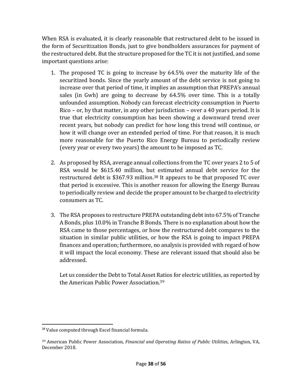When RSA is evaluated, it is clearly reasonable that restructured debt to be issued in the form of Securitization Bonds, just to give bondholders assurances for payment of the restructured debt. But the structure proposed for the TC it is not justified, and some important questions arise:

- 1. The proposed TC is going to increase by 64.5% over the maturity life of the securitized bonds. Since the yearly amount of the debt service is not going to increase over that period of time, it implies an assumption that PREPA's annual sales (in Gwh) are going to decrease by 64.5% over time. This is a totally unfounded assumption. Nobody can forecast electricity consumption in Puerto Rico – or, by that matter, in any other jurisdiction – over a 40 years period. It is true that electricity consumption has been showing a downward trend over recent years, but nobody can predict for how long this trend will continue, or how it will change over an extended period of time. For that reason, it is much more reasonable for the Puerto Rico Energy Bureau to periodically review (every year or every two years) the amount to be imposed as TC.
- 2. As proposed by RSA, average annual collections from the TC over years 2 to 5 of RSA would be \$615.40 million, but estimated annual debt service for the restructured debt is \$367.93 million.<sup>38</sup> It appears to be that proposed TC over that period is excessive. This is another reason for allowing the Energy Bureau to periodically review and decide the proper amount to be charged to electricity consumers as TC.
- 3. The RSA proposes to restructure PREPA outstanding debt into 67.5% of Tranche A Bonds, plus 10.0% in Tranche B Bonds. There is no explanation about how the RSA came to those percentages, or how the restructured debt compares to the situation in similar public utilities, or how the RSA is going to impact PREPA finances and operation; furthermore, no analysis is provided with regard of how it will impact the local economy. These are relevant issued that should also be addressed.

Let us consider the Debt to Total Asset Ratios for electric utilities, as reported by the American Public Power Association.<sup>39</sup>

<sup>38</sup> Value computed through Excel financial formula.

<sup>39</sup> American Public Power Association, *Financial and Operating Ratios of Public Utilities*, Arlington, VA, December 2018.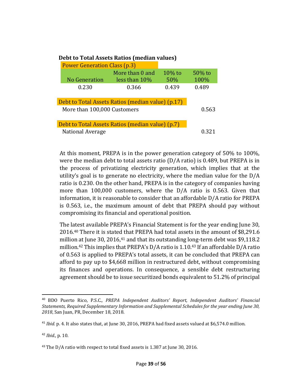| Debt to Total Assets Ratios (Inculan Values)      |                  |           |           |  |  |  |  |
|---------------------------------------------------|------------------|-----------|-----------|--|--|--|--|
| <b>Power Generation Class (p.3)</b>               |                  |           |           |  |  |  |  |
|                                                   | More than 0 and  | $10\%$ to | $50\%$ to |  |  |  |  |
| No Generation                                     | less than $10\%$ | 50%       | 100%      |  |  |  |  |
| 0.230                                             | 0.366            | 0.439     | 0.489     |  |  |  |  |
|                                                   |                  |           |           |  |  |  |  |
| Debt to Total Assets Ratios (median value) (p.17) |                  |           |           |  |  |  |  |
| More than 100,000 Customers                       | 0.563            |           |           |  |  |  |  |
|                                                   |                  |           |           |  |  |  |  |
| Debt to Total Assets Ratios (median value) (p.7)  |                  |           |           |  |  |  |  |
| <b>National Average</b>                           | 0.321            |           |           |  |  |  |  |

#### **Debt to Total Assets Ratios (median values)**

At this moment, PREPA is in the power generation category of 50% to 100%, were the median debt to total assets ratio (D/A ratio) is 0.489, but PREPA is in the process of privatizing electricity generation, which implies that at the utility's goal is to generate no electricity, where the median value for the D/A ratio is 0.230. On the other hand, PREPA is in the category of companies having more than 100,000 customers, where the D/A ratio is 0.563. Given that information, it is reasonable to consider that an affordable D/A ratio for PREPA is 0.563, i.e., the maximum amount of debt that PREPA should pay without compromising its financial and operational position.

The latest available PREPA's Financial Statement is for the year ending June 30, 2016.<sup>40</sup> There it is stated that PREPA had total assets in the amount of \$8,291.6 million at June 30, 2016, <sup>41</sup> and that its outstanding long-term debt was \$9,118.2 million.<sup>42</sup> This implies that PREPA's D/A ratio is 1.10.<sup>43</sup> If an affordable D/A ratio of 0.563 is applied to PREPA's total assets, it can be concluded that PREPA can afford to pay up to \$4,668 million in restructured debt, without compromising its finances and operations. In consequence, a sensible debt restructuring agreement should be to issue securitized bonds equivalent to 51.2% of principal

<sup>40</sup> BDO Puerto Rico, P.S.C., *PREPA Independent Auditors' Report, Independent Auditors' Financial Statements, Required Supplementary Information and Supplemental Schedules for the year ending June 30, 2018*, San Juan, PR, December 18, 2018.

<sup>41</sup> *Ibid.* p. 4. It also states that, at June 30, 2016, PREPA had fixed assets valued at \$6,574.0 million.

<sup>42</sup> *Ibid.,* p. 10.

<sup>&</sup>lt;sup>43</sup> The D/A ratio with respect to total fixed assets is 1.387 at June 30, 2016.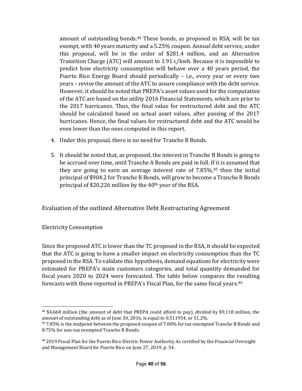amount of outstanding bonds.<sup>44</sup> These bonds, as proposed in RSA, will be tax exempt, with 40 years maturity and a 5.25% coupon. Annual debt service, under this proposal, will be in the order of \$281.4 million, and an Alternative Transition Charge (ATC) will amount to 1.91 c/kwh. Because it is impossible to predict how electricity consumption will behave over a 40 years period, the Puerto Rico Energy Board should periodically – i.e., every year or every two years – revise the amount of the ATC to assure compliance with the debt service. However, it should be noted that PREPA's asset values used for the computation of the ATC are based on the utility 2016 Financial Statements, which are prior to the 2017 hurricanes. Thus, the final value for restructured debt and the ATC should be calculated based on actual asset values, after passing of the 2017 hurricanes. Hence, the final values for restructured debt and the ATC would be even lower than the ones computed in this report.

- 4. Under this proposal, there is no need for Tranche B Bonds.
- 5. It should be noted that, as proposed, the interest in Tranche B Bonds is going to be accrued over time, until Tranche A Bonds are paid in full. If it is assumed that they are going to earn an average interest rate of  $7.85\%$ ,  $45$  then the initial principal of \$904.2 for Tranche B Bonds, will grow to become a Tranche B Bonds principal of \$20,226 million by the 40th year of the RSA.

<span id="page-40-0"></span>Evaluation of the outlined Alternative Debt Restructuring Agreement

<span id="page-40-1"></span>Electricity Consumption

Since the proposed ATC is lower than the TC proposed in the RSA, it should be expected that the ATC is going to have a smaller impact on electricity consumption than the TC proposed in the RSA. To validate this hypothesis, demand equations for electricity were estimated for PREPA's main customers categories, and total quantity demanded for fiscal years 2020 to 2024 were forecasted. The table below compares the resulting forecasts with those reported in PREPA's Fiscal Plan, for the same fiscal years.<sup>46</sup>

<sup>44</sup> \$4,668 million (the amount of debt that PREPA could afford to pay), divided by \$9,118 million, the amount of outstanding debt as of June 30, 2016, is equal to 0.511954, or 51.2%.

<sup>45</sup> 7.85% is the midpoint between the proposed coupon of 7.00% for tax-exempted Tranche B Bonds and 8.75% for non-tax exempted Tranche B Bonds.

<sup>46</sup> 2019 Fiscal Plan for the Puerto Rico Electric Power Authority As certified by the Financial Oversight and Management Board for Puerto Rico on June 27, 2019, p. 54.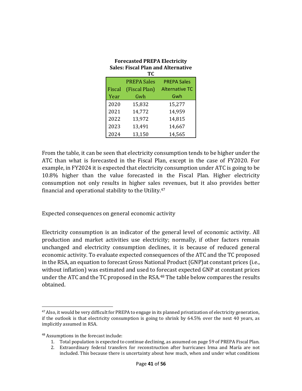| <b>Forecasted PREPA Electricity</b><br><b>Sales: Fiscal Plan and Alternative</b><br>ТC |                    |                       |  |  |  |  |  |
|----------------------------------------------------------------------------------------|--------------------|-----------------------|--|--|--|--|--|
|                                                                                        | <b>PREPA Sales</b> | <b>PREPA Sales</b>    |  |  |  |  |  |
| Fiscal                                                                                 | (Fiscal Plan)      | <b>Alternative TC</b> |  |  |  |  |  |
| Year                                                                                   | Gwh                | Gwh                   |  |  |  |  |  |
| 2020                                                                                   | 15,832             | 15,277                |  |  |  |  |  |
| 2021                                                                                   | 14,772             | 14,959                |  |  |  |  |  |
| 2022                                                                                   | 13,972             | 14,815                |  |  |  |  |  |
| 2023                                                                                   | 13,491             | 14,667                |  |  |  |  |  |
| 2024                                                                                   | 13,150             | 14,565                |  |  |  |  |  |

From the table, it can be seen that electricity consumption tends to be higher under the ATC than what is forecasted in the Fiscal Plan, except in the case of FY2020. For example, in FY2024 it is expected that electricity consumption under ATC is going to be 10.8% higher than the value forecasted in the Fiscal Plan. Higher electricity consumption not only results in higher sales revenues, but it also provides better financial and operational stability to the Utility.<sup>47</sup>

<span id="page-41-0"></span>Expected consequences on general economic activity

Electricity consumption is an indicator of the general level of economic activity. All production and market activities use electricity; normally, if other factors remain unchanged and electricity consumption declines, it is because of reduced general economic activity. To evaluate expected consequences of the ATC and the TC proposed in the RSA, an equation to forecast Gross National Product (GNP)at constant prices (i.e., without inflation) was estimated and used to forecast expected GNP at constant prices under the ATC and the TC proposed in the RSA.<sup>48</sup> The table below compares the results obtained.

<sup>&</sup>lt;sup>47</sup> Also, it would be very difficult for PREPA to engage in its planned privatization of electricity generation, if the outlook is that electricity consumption is going to shrink by 64.5% over the next 40 years, as implicitly assumed in RSA.

<sup>48</sup> Assumptions in the forecast include:

<sup>1.</sup> Total population is expected to continue declining, as assumed on page 59 of PREPA Fiscal Plan.

<sup>2.</sup> Extraordinary federal transfers for reconstruction after hurricanes Irma and María are not included. This because there is uncertainty about how much, when and under what conditions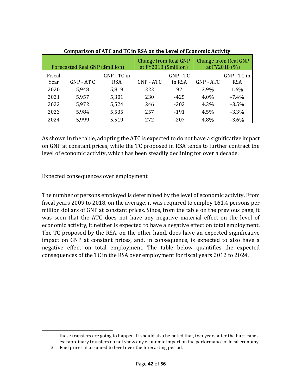|                | <b>Forecasted Real GNP (\$million)</b> |                           | <b>Change from Real GNP</b><br>at FY2018 (\$million) |                      |           | <b>Change from Real GNP</b><br>at FY2018 (%) |
|----------------|----------------------------------------|---------------------------|------------------------------------------------------|----------------------|-----------|----------------------------------------------|
| Fiscal<br>Year | GNP - AT C                             | GNP - TC in<br><b>RSA</b> | GNP - ATC                                            | $GNP - TC$<br>in RSA | GNP - ATC | GNP - TC in<br><b>RSA</b>                    |
| 2020           | 5,948                                  | 5,819                     | 222                                                  | 92                   | 3.9%      | 1.6%                                         |
| 2021           | 5,957                                  | 5,301                     | 230                                                  | $-425$               | 4.0%      | $-7.4%$                                      |
| 2022           | 5,972                                  | 5,524                     | 246                                                  | $-202$               | 4.3%      | $-3.5%$                                      |
| 2023           | 5,984                                  | 5,535                     | 257                                                  | $-191$               | 4.5%      | $-3.3%$                                      |
| 2024           | 5,999                                  | 5,519                     | 272                                                  | $-207$               | 4.8%      | $-3.6%$                                      |

| <b>Comparison of ATC and TC in RSA on the Level of Economic Activity</b> |
|--------------------------------------------------------------------------|
|--------------------------------------------------------------------------|

As shown in the table, adopting the ATC is expected to do not have a significative impact on GNP at constant prices, while the TC proposed in RSA tends to further contract the level of economic activity, which has been steadily declining for over a decade.

#### <span id="page-42-0"></span>Expected consequences over employment

The number of persons employed is determined by the level of economic activity. From fiscal years 2009 to 2018, on the average, it was required to employ 161.4 persons per million dollars of GNP at constant prices. Since, from the table on the previous page, it was seen that the ATC does not have any negative material effect on the level of economic activity, it neither is expected to have a negative effect on total employment. The TC proposed by the RSA, on the other hand, does have an expected significative impact on GNP at constant prices, and, in consequence, is expected to also have a negative effect on total employment. The table below quantifies the expected consequences of the TC in the RSA over employment for fiscal years 2012 to 2024.

these transfers are going to happen. It should also be noted that, two years after the hurricanes, extraordinary transfers do not show any economic impact on the performance of local economy.

<sup>3.</sup> Fuel prices at assumed to level over the forecasting period.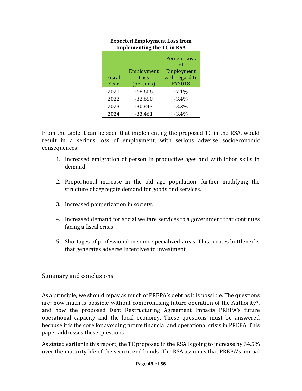|        |            | <b>Percent Loss</b><br>Ωf |
|--------|------------|---------------------------|
|        | Employment | Employment                |
| Fiscal | Loss       | with regard to            |
| Year   | (persons)  | <b>FY2018</b>             |
| 2021   | $-68,606$  | $-7.1\%$                  |
| 2022   | $-32,650$  | $-3.4%$                   |
| 2023   | $-30,843$  | $-3.2%$                   |
| 2024   | $-33,461$  | $-3.4%$                   |

#### **Expected Employment Loss from Implementing the TC in RSA**

From the table it can be seen that implementing the proposed TC in the RSA, would result in a serious loss of employment, with serious adverse socioeconomic consequences:

- 1. Increased emigration of person in productive ages and with labor skills in demand.
- 2. Proportional increase in the old age population, further modifying the structure of aggregate demand for goods and services.
- 3. Increased pauperization in society.
- 4. Increased demand for social welfare services to a government that continues facing a fiscal crisis.
- 5. Shortages of professional in some specialized areas. This creates bottlenecks that generates adverse incentives to investment.

#### <span id="page-43-0"></span>Summary and conclusions

As a principle, we should repay as much of PREPA's debt as it is possible. The questions are: how much is possible without compromising future operation of the Authority?, and how the proposed Debt Restructuring Agreement impacts PREPA's future operational capacity and the local economy. These questions must be answered because it is the core for avoiding future financial and operational crisis in PREPA. This paper addresses these questions.

As stated earlier in this report, the TC proposed in the RSA is going to increase by 64.5% over the maturity life of the securitized bonds. The RSA assumes that PREPA's annual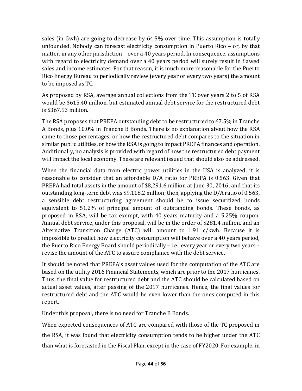sales (in Gwh) are going to decrease by 64.5% over time. This assumption is totally unfounded. Nobody can forecast electricity consumption in Puerto Rico – or, by that matter, in any other jurisdiction – over a 40 years period. In consequence, assumptions with regard to electricity demand over a 40 years period will surely result in flawed sales and income estimates. For that reason, it is much more reasonable for the Puerto Rico Energy Bureau to periodically review (every year or every two years) the amount to be imposed as TC.

As proposed by RSA, average annual collections from the TC over years 2 to 5 of RSA would be \$615.40 million, but estimated annual debt service for the restructured debt is \$367.93 million.

The RSA proposes that PREPA outstanding debt to be restructured to 67.5% in Tranche A Bonds, plus 10.0% in Tranche B Bonds. There is no explanation about how the RSA came to those percentages, or how the restructured debt compares to the situation in similar public utilities, or how the RSA is going to impact PREPA finances and operation. Additionally, no analysis is provided with regard of how the restructured debt payment will impact the local economy. These are relevant issued that should also be addressed.

When the financial data from electric power utilities in the USA is analyzed, it is reasonable to consider that an affordable D/A ratio for PREPA is 0.563. Given that PREPA had total assets in the amount of \$8,291.6 million at June 30, 2016, and that its outstanding long-term debt was \$9,118.2 million; then, applying the D/A ratio of 0.563, a sensible debt restructuring agreement should be to issue securitized bonds equivalent to 51.2% of principal amount of outstanding bonds. These bonds, as proposed in RSA, will be tax exempt, with 40 years maturity and a 5.25% coupon. Annual debt service, under this proposal, will be in the order of \$281.4 million, and an Alternative Transition Charge (ATC) will amount to  $1.91$  c/kwh. Because it is impossible to predict how electricity consumption will behave over a 40 years period, the Puerto Rico Energy Board should periodically – i.e., every year or every two years – revise the amount of the ATC to assure compliance with the debt service.

It should be noted that PREPA's asset values used for the computation of the ATC are based on the utility 2016 Financial Statements, which are prior to the 2017 hurricanes. Thus, the final value for restructured debt and the ATC should be calculated based on actual asset values, after passing of the 2017 hurricanes. Hence, the final values for restructured debt and the ATC would be even lower than the ones computed in this report.

Under this proposal, there is no need for Tranche B Bonds.

When expected consequences of ATC are compared with those of the TC proposed in the RSA, it was found that electricity consumption tends to be higher under the ATC than what is forecasted in the Fiscal Plan, except in the case of FY2020. For example, in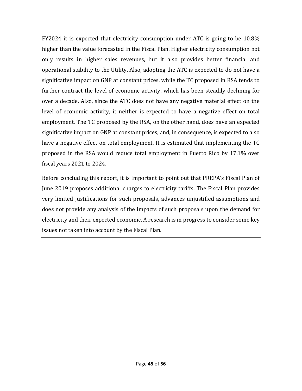FY2024 it is expected that electricity consumption under ATC is going to be 10.8% higher than the value forecasted in the Fiscal Plan. Higher electricity consumption not only results in higher sales revenues, but it also provides better financial and operational stability to the Utility. Also, adopting the ATC is expected to do not have a significative impact on GNP at constant prices, while the TC proposed in RSA tends to further contract the level of economic activity, which has been steadily declining for over a decade. Also, since the ATC does not have any negative material effect on the level of economic activity, it neither is expected to have a negative effect on total employment. The TC proposed by the RSA, on the other hand, does have an expected significative impact on GNP at constant prices, and, in consequence, is expected to also have a negative effect on total employment. It is estimated that implementing the TC proposed in the RSA would reduce total employment in Puerto Rico by 17.1% over fiscal years 2021 to 2024.

Before concluding this report, it is important to point out that PREPA's Fiscal Plan of June 2019 proposes additional charges to electricity tariffs. The Fiscal Plan provides very limited justifications for such proposals, advances unjustified assumptions and does not provide any analysis of the impacts of such proposals upon the demand for electricity and their expected economic. A research is in progress to consider some key issues not taken into account by the Fiscal Plan.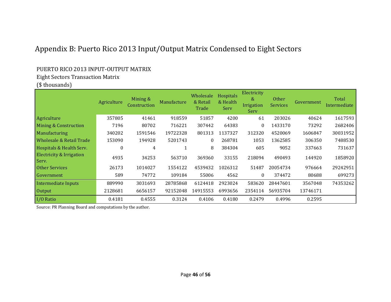### Appendix B: Puerto Rico 2013 Input/Output Matrix Condensed to Eight Sectors

#### PUERTO RICO 2013 INPUT-OUTPUT MATRIX

#### Eight Sectors Transaction Matrix

#### (\$ thousands)

<span id="page-46-0"></span>

|                                   | Agriculture | Mining &<br>Construction | Manufacture | Wholesale<br>& Retail<br>Trade | <b>Hospitals</b><br>& Health<br>Serv | Electricity<br>&<br>Irrigation<br>Serv | <b>Other</b><br><b>Services</b> | Government | <b>Total</b><br>Intermediate |
|-----------------------------------|-------------|--------------------------|-------------|--------------------------------|--------------------------------------|----------------------------------------|---------------------------------|------------|------------------------------|
| Agriculture                       | 357805      | 41461                    | 918559      | 51857                          | 4200                                 | 61                                     | 203026                          | 40624      | 1617593                      |
| Mining & Construction             | 7196        | 80702                    | 716221      | 307442                         | 64383                                | $\theta$                               | 1433170                         | 73292      | 2682406                      |
| <b>Manufacturing</b>              | 340202      | 1591546                  | 19722328    | 801313                         | 1137327                              | 312320                                 | 4520069                         | 1606847    | 30031952                     |
| Wholesale & Retail Trade          | 153090      | 194928                   | 5201743     | $\mathbf{0}$                   | 268781                               | 1053                                   | 1362585                         | 306350     | 7488530                      |
| Hospitals & Health Serv.          | 0           | 4                        |             | 8                              | 384304                               | 605                                    | 9052                            | 337663     | 731637                       |
| Electricity & Irrigation<br>Serv. | 4935        | 34253                    | 563710      | 369360                         | 33155                                | 218094                                 | 490493                          | 144920     | 1858920                      |
| Other Services                    | 26173       | 1014027                  | 1554122     | 4539432                        | 1026312                              | 51487                                  | 20054734                        | 976664     | 29242951                     |
| Government                        | 589         | 74772                    | 109184      | 55006                          | 4562                                 | $\theta$                               | 374472                          | 80688      | 699273                       |
| <b>Intermediate Inputs</b>        | 889990      | 3031693                  | 28785868    | 6124418                        | 2923024                              | 583620                                 | 28447601                        | 3567048    | 74353262                     |
| <b>Output</b>                     | 2128681     | 6656157                  | 92152048    | 14915553                       | 6993656                              | 2354114                                | 56935704                        | 13746171   |                              |
| I/O Ratio                         | 0.4181      | 0.4555                   | 0.3124      | 0.4106                         | 0.4180                               | 0.2479                                 | 0.4996                          | 0.2595     |                              |

Source: PR Planning Board and computations by the author.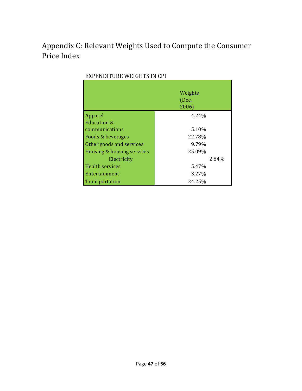## <span id="page-47-0"></span>Appendix C: Relevant Weights Used to Compute the Consumer Price Index

|                            | Weights<br>(Dec.<br>2006) |
|----------------------------|---------------------------|
| Apparel                    | 4.24%                     |
| <b>Education &amp;</b>     |                           |
| communications             | 5.10%                     |
| Foods & beverages          | 22.78%                    |
| Other goods and services   | 9.79%                     |
| Housing & housing services | 25.09%                    |
| Electricity                | 2.84%                     |
| <b>Health services</b>     | 5.47%                     |
| Entertainment              | 3.27%                     |
| Transportation             | 24.25%                    |

#### EXPENDITURE WEIGHTS IN CPI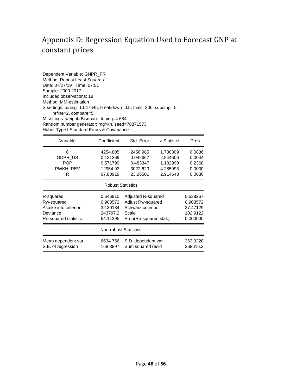### <span id="page-48-0"></span>Appendix D: Regression Equation Used to Forecast GNP at constant prices

Dependent Variable: GNPR\_PR Method: Robust Least Squares Date: 07/27/19 Time: 07:51 Sample: 2000 2017 Included observations: 18 Method: MM-estimation S settings: tuning=1.547645, breakdown=0.5, trials=200, subsmpl=5, refine=2, compare=5 M settings: weight=Bisquare, tuning=4.684 Random number generator: rng=kn, seed=78871573 Huber Type I Standard Errors & Covariance

| Variable              | Coefficient                  | Std. Error                     | z-Statistic | Prob.    |  |
|-----------------------|------------------------------|--------------------------------|-------------|----------|--|
| С                     | 4254.805                     | 2458.985                       | 1.730309    | 0.0836   |  |
| <b>GDPR US</b>        | 0.121369                     | 0.042667                       | 2.844606    | 0.0044   |  |
| <b>POP</b>            | 0.571799                     | 0.483347                       | 1.182999    | 0.2368   |  |
| PWKH REV              | $-12954.93$                  | 3022.620                       | -4.285993   | 0.0000   |  |
| R                     | 67.80919                     | 23.26501                       | 2.914643    | 0.0036   |  |
|                       | <b>Robust Statistics</b>     |                                |             |          |  |
| R-squared             | 0.646910                     | Adjusted R-squared<br>0.538267 |             |          |  |
| Rw-squared            | 0.903572                     | Adjust Rw-squared<br>0.903572  |             |          |  |
| Akaike info criterion | 32.30184                     | Schwarz criterion              |             | 37.47129 |  |
| Deviance              | 243797.2                     | Scale                          |             | 102.9122 |  |
| Rn-squared statistic  | 64.11395                     | Prob(Rn-squared stat.)         |             | 0.000000 |  |
|                       | <b>Non-robust Statistics</b> |                                |             |          |  |
| Mean dependent var    | 6634.756                     | S.D. dependent var             |             | 363.9220 |  |
| S.E. of regression    | 168.3897                     | Sum squared resid              |             | 368616.2 |  |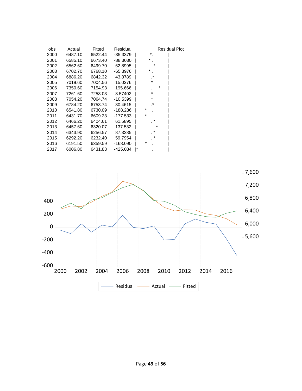| obs  | Actual  | Fitted  | Residual   | <b>Residual Plot</b> |
|------|---------|---------|------------|----------------------|
| 2000 | 6487.10 | 6522.44 | $-35.3379$ | *                    |
| 2001 | 6585.10 | 6673.40 | $-88.3030$ | $^\star$             |
| 2002 | 6562.60 | 6499.70 | 62.8995    |                      |
| 2003 | 6702.70 | 6768.10 | $-65.3976$ |                      |
| 2004 | 6886.20 | 6842.32 | 43.8789    |                      |
| 2005 | 7019.60 | 7004.56 | 15.0376    | *                    |
| 2006 | 7350.60 | 7154.93 | 195.666    | *                    |
| 2007 | 7261.60 | 7253.03 | 8.57402    | *                    |
| 2008 | 7054.20 | 7064.74 | $-10.5399$ | $\star$              |
| 2009 | 6784.20 | 6753.74 | 30.4615    | $^\star$             |
| 2010 | 6541.80 | 6730.09 | $-188.286$ | $^\star$             |
| 2011 | 6431.70 | 6609.23 | $-177.533$ | $\star$              |
| 2012 | 6466.20 | 6404.61 | 61.5895    | $\star$              |
| 2013 | 6457.60 | 6320.07 | 137.532    | $\star$              |
| 2014 | 6343.90 | 6256.57 | 87.3285    | $\ast$               |
| 2015 | 6292.20 | 6232.40 | 59.7954    | *                    |
| 2016 | 6191.50 | 6359.59 | $-168.090$ | $^\star$             |
| 2017 | 6006.80 | 6431.83 | $-425.034$ | ١*                   |
|      |         |         |            |                      |

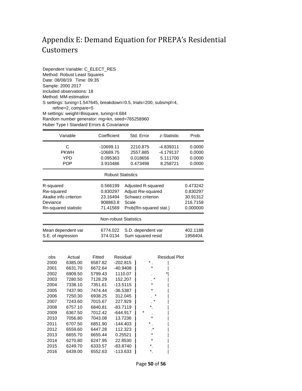### <span id="page-50-0"></span>Appendix E: Demand Equation for PREPA's Residential Customers

Dependent Variable: C\_ELECT\_RES Method: Robust Least Squares Date: 08/08/19 Time: 09:35 Sample: 2000 2017 Included observations: 18 Method: MM-estimation S settings: tuning=1.547645, breakdown=0.5, trials=200, subsmpl=4, refine=2, compare=5 M settings: weight=Bisquare, tuning=4.684 Random number generator: rng=kn, seed=765258960 Huber Type I Standard Errors & Covariance

| Variable                                 | Coefficient                  | Std. Error                                                      | z-Statistic | Prob.  |
|------------------------------------------|------------------------------|-----------------------------------------------------------------|-------------|--------|
| C                                        | $-10699.11$                  | 2210.875<br>-4.839311                                           |             | 0.0000 |
| <b>PKWH</b>                              | $-10689.75$                  | 2557.885                                                        | -4.179137   | 0.0000 |
| YPD                                      | 0.095363                     | 0.018656                                                        | 5.111700    | 0.0000 |
| <b>POP</b>                               | 3.910486                     | 0.473498                                                        | 8.258721    | 0.0000 |
|                                          | <b>Robust Statistics</b>     |                                                                 |             |        |
| R-squared                                | 0.566199                     | Adjusted R-squared<br>0.473242                                  |             |        |
| Rw-squared                               | 0.830297                     | Adjust Rw-squared<br>0.830297                                   |             |        |
| Akaike info criterion                    | 23.16494                     | Schwarz criterion<br>30.91312                                   |             |        |
| Deviance                                 | 908863.8                     | 216.7158<br>Scale                                               |             |        |
| Rn-squared statistic                     | 71.41569                     | Prob(Rn-squared stat.)<br>0.000000                              |             |        |
|                                          | <b>Non-robust Statistics</b> |                                                                 |             |        |
| Mean dependent var<br>S.E. of regression | 6774.022<br>374.0134         | S.D. dependent var<br>402.1188<br>Sum squared resid<br>1958404. |             |        |

| obs  | Actual  | Fitted  | Residual   | <b>Residual Plot</b> |
|------|---------|---------|------------|----------------------|
| 2000 | 6385.00 | 6587.82 | $-202.815$ | *                    |
| 2001 | 6631.70 | 6672.64 | -40.9408   | *                    |
| 2002 | 6909.50 | 5799.43 | 1110.07    |                      |
| 2003 | 7280.50 | 7128.29 | 152.207    | $\ast$               |
| 2004 | 7338.10 | 7351.61 | $-13.5115$ | $\star$              |
| 2005 | 7437.90 | 7474.44 | $-36.5387$ | $\star$              |
| 2006 | 7250.30 | 6938.25 | 312.045    | $\ast$               |
| 2007 | 7243.60 | 7015.67 | 227.929    | $^\star$             |
| 2008 | 6757.10 | 6840.81 | $-83.7119$ | *                    |
| 2009 | 6367.50 | 7012.42 | $-644.917$ | *                    |
| 2010 | 7056.80 | 7043.08 | 13.7236    | $\star$              |
| 2011 | 6707.50 | 6851.90 | $-144.403$ | *                    |
| 2012 | 6559.60 | 6447.28 | 112.323    | *                    |
| 2013 | 6655.70 | 6655.44 | 0.25521    | *                    |
| 2014 | 6270.80 | 6247.95 | 22.8530    | *                    |
| 2015 | 6249.70 | 6333.57 | $-83.8740$ | $\star$              |
| 2016 | 6439.00 | 6552.63 | -113.633   | *                    |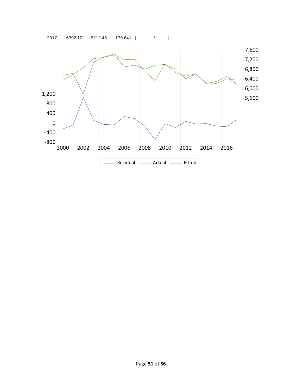

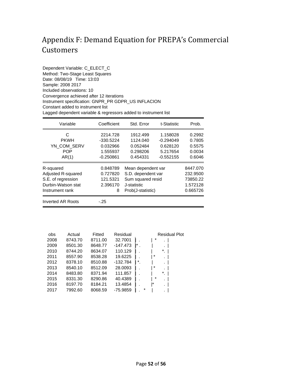### <span id="page-52-0"></span>Appendix F: Demand Equation for PREPA's Commercial Customers

Dependent Variable: C\_ELECT\_C Method: Two-Stage Least Squares Date: 08/08/19 Time: 13:03 Sample: 2008 2017 Included observations: 10 Convergence achieved after 12 iterations Instrument specification: GNPR\_PR GDPR\_US INFLACION Constant added to instrument list Lagged dependent variable & regressors added to instrument list

| Variable                  | Coefficient | Std. Error              | t-Statistic | Prob.    |
|---------------------------|-------------|-------------------------|-------------|----------|
| C                         | 2214.728    | 1912.499                | 1.158028    | 0.2992   |
| <b>PKWH</b>               | $-330.5224$ | 1124.040                | $-0.294049$ | 0.7805   |
| YN COM SERV               | 0.032966    | 0.052484                | 0.628120    | 0.5575   |
| <b>POP</b>                | 1.555937    | 0.298206                | 5.217654    | 0.0034   |
| AR(1)                     | $-0.250861$ | 0.454331                | $-0.552155$ | 0.6046   |
| R-squared                 | 0.848789    | Mean dependent var      |             | 8447.070 |
| <b>Adjusted R-squared</b> | 0.727820    | S.D. dependent var      |             | 232.9500 |
| S.E. of regression        | 121.5321    | Sum squared resid       |             | 73850.22 |
| Durbin-Watson stat        | 2.396170    | 1.572128<br>J-statistic |             |          |
| Instrument rank           | 8           | Prob(J-statistic)       |             | 0.665726 |
| Inverted AR Roots         | -.25        |                         |             |          |

| obs  | Actual  | Fitted  | Residual   | <b>Residual Plot</b> |  |
|------|---------|---------|------------|----------------------|--|
| 2008 | 8743.70 | 8711.00 | 32.7001    | $\ast$<br>٠          |  |
| 2009 | 8501.30 | 8648.77 | $-147.473$ |                      |  |
| 2010 | 8744.20 | 8634.07 | 110.129    | *                    |  |
| 2011 | 8557.90 | 8538.28 | 19.6225    | ä,                   |  |
| 2012 | 8378.10 | 8510.88 | $-132.784$ | *<br>L.              |  |
| 2013 | 8540.10 | 8512.09 | 28,0093    | *<br>٠               |  |
| 2014 | 8483.80 | 8371.94 | 111.857    |                      |  |
| 2015 | 8331.30 | 8290.86 | 40.4389    | *<br>٠               |  |
| 2016 | 8197.70 | 8184.21 | 13.4854    | ∗<br>×.              |  |
| 2017 | 7992.60 | 8068.59 | -75.9859   | *                    |  |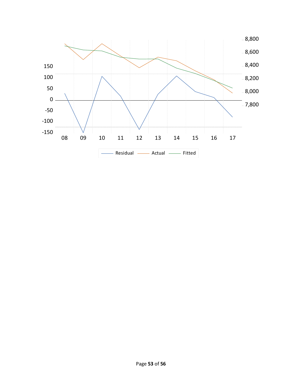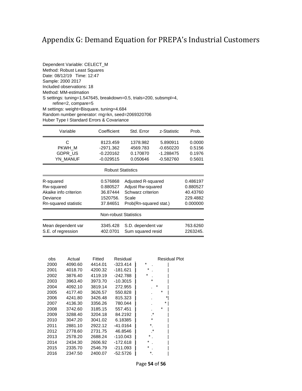# <span id="page-54-0"></span>Appendix G: Demand Equation for PREPA's Industrial Customers

| Dependent Variable: CELECT_M                                                              |
|-------------------------------------------------------------------------------------------|
| Method: Robust Least Squares                                                              |
| Date: 08/12/19 Time: 12:47                                                                |
| Sample: 2000 2017                                                                         |
| Included observations: 18                                                                 |
| Method: MM-estimation                                                                     |
| S settings: tuning=1.547645, breakdown=0.5, trials=200, subsmpl=4,<br>refine=2, compare=5 |
| M settings: weight=Bisquare, tuning=4.684                                                 |
| Random number generator: rng=kn, seed=2069320706                                          |
| Huber Type I Standard Errors & Covariance                                                 |

| Variable                 | Coefficient                  | Std. Error                                                      | z-Statistic | Prob.    |  |  |
|--------------------------|------------------------------|-----------------------------------------------------------------|-------------|----------|--|--|
| C                        | 8123.459                     | 1378.982                                                        | 5.890911    | 0.0000   |  |  |
| PKWH M                   | $-2971.362$                  | 4569.783                                                        | $-0.650220$ | 0.5156   |  |  |
| <b>GDPR US</b>           | $-0.220162$                  | 0.170870                                                        | $-1.288475$ | 0.1976   |  |  |
| YN MANUF                 | $-0.029515$                  | 0.050646                                                        | -0.582760   | 0.5601   |  |  |
| <b>Robust Statistics</b> |                              |                                                                 |             |          |  |  |
| R-squared                | 0.576868                     | Adjusted R-squared                                              |             | 0.486197 |  |  |
| Rw-squared               | 0.880527                     | <b>Adjust Rw-squared</b>                                        |             | 0.880527 |  |  |
| Akaike info criterion    | 36.87444                     | Schwarz criterion                                               |             | 40.43760 |  |  |
| Deviance                 | 1520756.                     | Scale                                                           |             | 229.4882 |  |  |
| Rn-squared statistic     | 37.84651                     | Prob(Rn-squared stat.)<br>0.000000                              |             |          |  |  |
|                          | <b>Non-robust Statistics</b> |                                                                 |             |          |  |  |
| Mean dependent var       | 3345.428<br>402.0701         | S.D. dependent var<br>763.6260<br>Sum squared resid<br>2263245. |             |          |  |  |
| S.E. of regression       |                              |                                                                 |             |          |  |  |

| obs  | Actual  | Fitted  | Residual   | <b>Residual Plot</b> |
|------|---------|---------|------------|----------------------|
| 2000 | 4090.60 | 4414.01 | $-323.414$ | $^\star$             |
| 2001 | 4018.70 | 4200.32 | $-181.621$ | *                    |
| 2002 | 3876.40 | 4119.19 | $-242.788$ | *                    |
| 2003 | 3963.40 | 3973.70 | $-10.3015$ | *                    |
| 2004 | 4092.10 | 3819.14 | 272.955    | $\star$              |
| 2005 | 4177.40 | 3626.57 | 550.828    | *                    |
| 2006 | 4241.80 | 3426.48 | 815.323    | *                    |
| 2007 | 4136.30 | 3356.26 | 780.044    | *                    |
| 2008 | 3742.60 | 3185.15 | 557.451    | *                    |
| 2009 | 3288.40 | 3204.18 | 84.2192    | *                    |
| 2010 | 3047.20 | 3041.02 | 6.18385    | *                    |
| 2011 | 2881.10 | 2922.12 | -41.0164   | $^\star$             |
| 2012 | 2778.60 | 2731.75 | 46.8546    | *                    |
| 2013 | 2578.20 | 2688.24 | $-110.043$ | *                    |
| 2014 | 2434.30 | 2606.92 | $-172.618$ | *                    |
| 2015 | 2335.70 | 2546.79 | $-211.093$ | *                    |
| 2016 | 2347.50 | 2400.07 | $-52.5726$ |                      |

Page **54** of **56**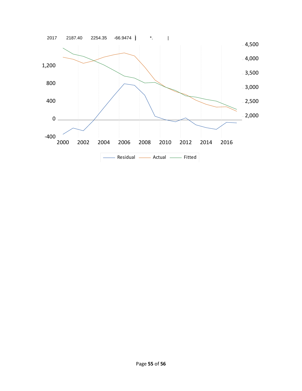